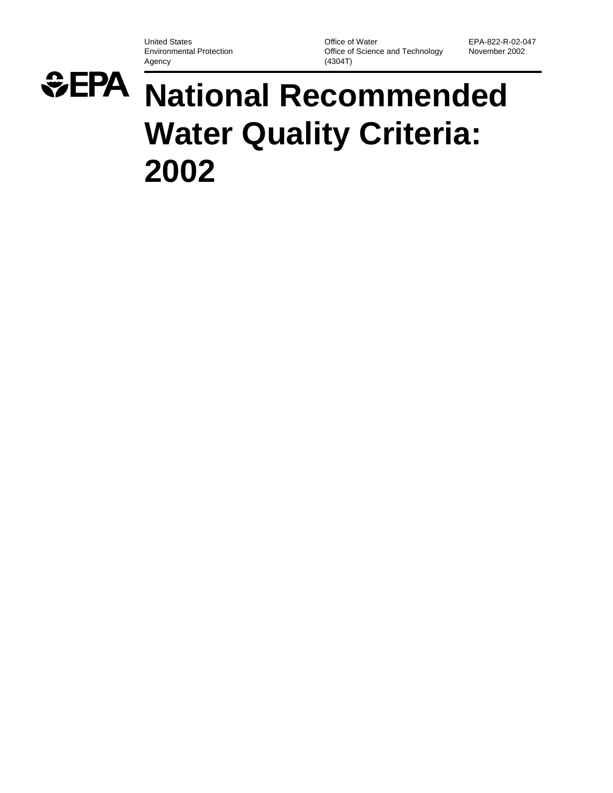United States **Department Concernsive Concernsive Concernsive Concernsive Concernsive Concernsive Concernsive Concernsive Concernsive Concernsive Concernsive Concernsive Concernsive Concernsive Concernsive Concernsive Conc** Environmental Protection **Office of Science and Technology**<br>Agency (4304T)  $(4304T)$ 



# *<del>* $EPA$  National Recommended</del> **Water Quality Criteria: 2002**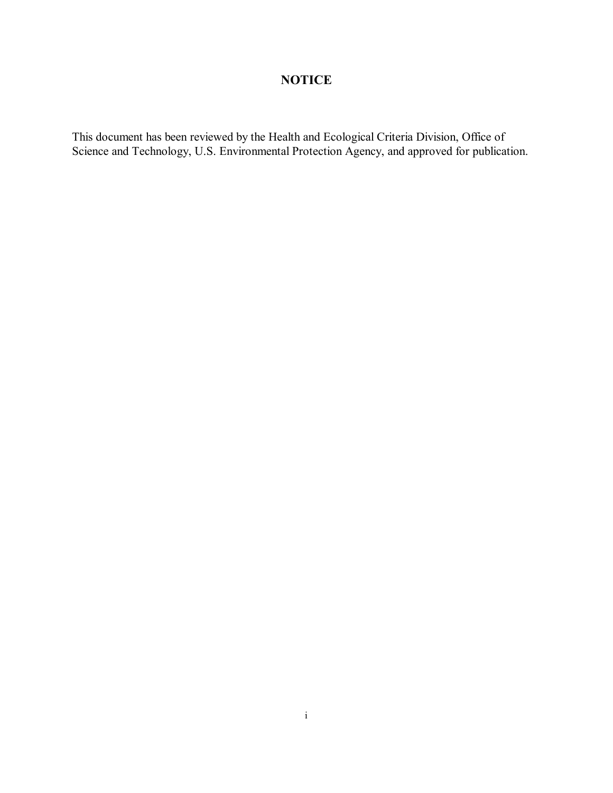## **NOTICE**

This document has been reviewed by the Health and Ecological Criteria Division, Office of Science and Technology, U.S. Environmental Protection Agency, and approved for publication.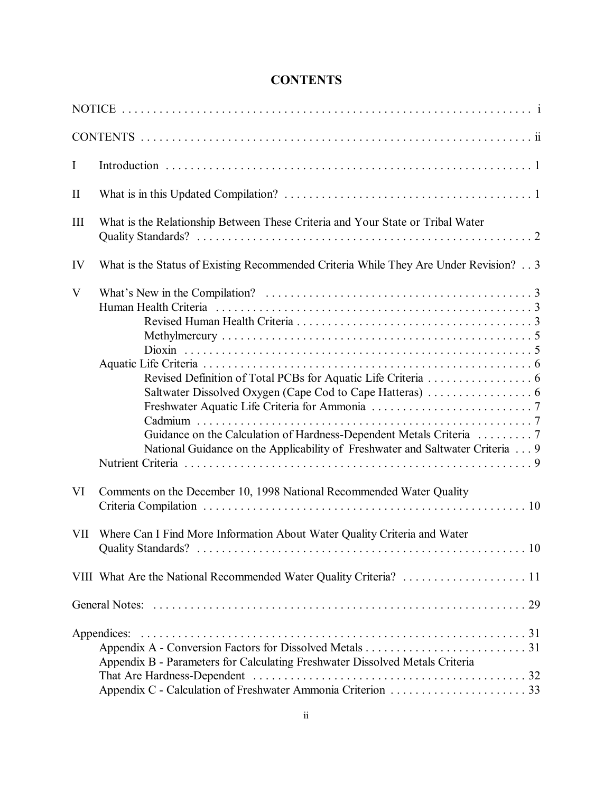# **CONTENTS**

| $\mathbf I$  |                                                                                      |
|--------------|--------------------------------------------------------------------------------------|
| $\mathbf{I}$ |                                                                                      |
| III          | What is the Relationship Between These Criteria and Your State or Tribal Water       |
| IV           | What is the Status of Existing Recommended Criteria While They Are Under Revision? 3 |
| V            | National Guidance on the Applicability of Freshwater and Saltwater Criteria  9       |
| VI           | Comments on the December 10, 1998 National Recommended Water Quality                 |
| VII          | Where Can I Find More Information About Water Quality Criteria and Water             |
|              |                                                                                      |
|              |                                                                                      |
|              | Appendix B - Parameters for Calculating Freshwater Dissolved Metals Criteria         |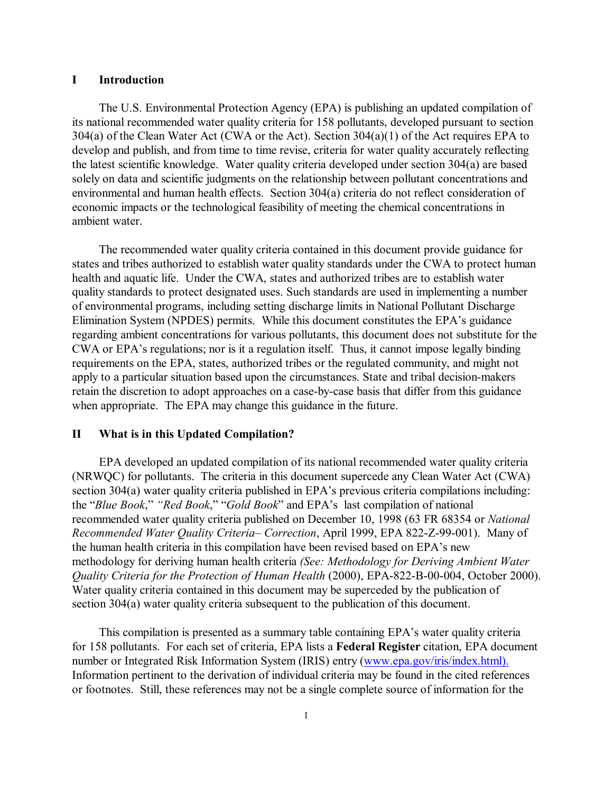## **I Introduction**

The U.S. Environmental Protection Agency (EPA) is publishing an updated compilation of its national recommended water quality criteria for 158 pollutants, developed pursuant to section 304(a) of the Clean Water Act (CWA or the Act). Section 304(a)(1) of the Act requires EPA to develop and publish, and from time to time revise, criteria for water quality accurately reflecting the latest scientific knowledge. Water quality criteria developed under section 304(a) are based solely on data and scientific judgments on the relationship between pollutant concentrations and environmental and human health effects. Section 304(a) criteria do not reflect consideration of economic impacts or the technological feasibility of meeting the chemical concentrations in ambient water.

The recommended water quality criteria contained in this document provide guidance for states and tribes authorized to establish water quality standards under the CWA to protect human health and aquatic life. Under the CWA, states and authorized tribes are to establish water quality standards to protect designated uses. Such standards are used in implementing a number of environmental programs, including setting discharge limits in National Pollutant Discharge Elimination System (NPDES) permits. While this document constitutes the EPA's guidance regarding ambient concentrations for various pollutants, this document does not substitute for the CWA or EPA's regulations; nor is it a regulation itself. Thus, it cannot impose legally binding requirements on the EPA, states, authorized tribes or the regulated community, and might not apply to a particular situation based upon the circumstances. State and tribal decision-makers retain the discretion to adopt approaches on a case-by-case basis that differ from this guidance when appropriate. The EPA may change this guidance in the future.

## **II What is in this Updated Compilation?**

EPA developed an updated compilation of its national recommended water quality criteria (NRWQC) for pollutants. The criteria in this document supercede any Clean Water Act (CWA) section 304(a) water quality criteria published in EPA's previous criteria compilations including: the "*Blue Book*," *"Red Book*," "*Gold Book*" and EPA's last compilation of national recommended water quality criteria published on December 10, 1998 (63 FR 68354 or *National Recommended Water Quality Criteria– Correction*, April 1999, EPA 822-Z-99-001). Many of the human health criteria in this compilation have been revised based on EPA's new methodology for deriving human health criteria *(See: Methodology for Deriving Ambient Water Quality Criteria for the Protection of Human Health* (2000), EPA-822-B-00-004, October 2000). Water quality criteria contained in this document may be superceded by the publication of section 304(a) water quality criteria subsequent to the publication of this document.

This compilation is presented as a summary table containing EPA's water quality criteria for 158 pollutants. For each set of criteria, EPA lists a **Federal Register** citation, EPA document number or Integrated Risk Information System (IRIS) entry (www.epa.gov/iris/index.html). Information pertinent to the derivation of individual criteria may be found in the cited references or footnotes. Still, these references may not be a single complete source of information for the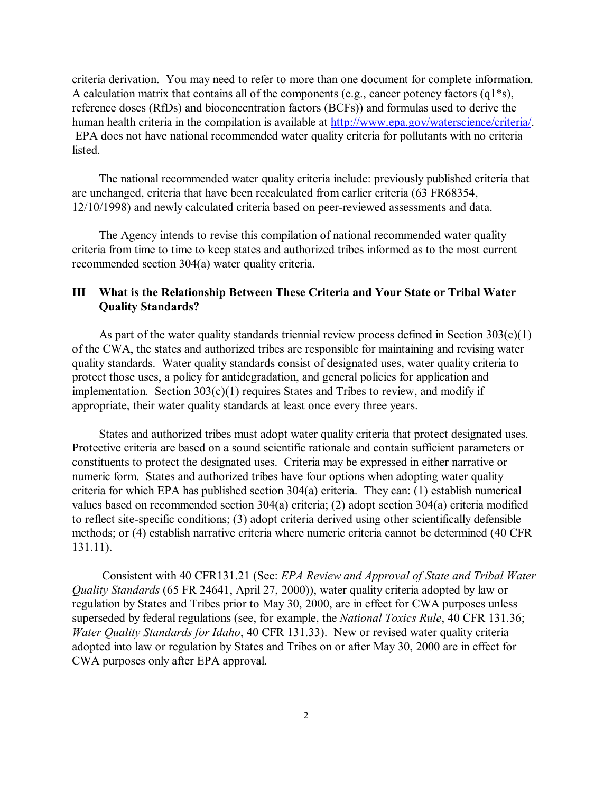criteria derivation. You may need to refer to more than one document for complete information. A calculation matrix that contains all of the components (e.g., cancer potency factors (q1\*s), reference doses (RfDs) and bioconcentration factors (BCFs)) and formulas used to derive the human health criteria in the compilation is available at http://www.epa.gov/waterscience/criteria/. EPA does not have national recommended water quality criteria for pollutants with no criteria listed.

The national recommended water quality criteria include: previously published criteria that are unchanged, criteria that have been recalculated from earlier criteria (63 FR68354, 12/10/1998) and newly calculated criteria based on peer-reviewed assessments and data.

The Agency intends to revise this compilation of national recommended water quality criteria from time to time to keep states and authorized tribes informed as to the most current recommended section 304(a) water quality criteria.

## **III What is the Relationship Between These Criteria and Your State or Tribal Water Quality Standards?**

As part of the water quality standards triennial review process defined in Section  $303(c)(1)$ of the CWA, the states and authorized tribes are responsible for maintaining and revising water quality standards. Water quality standards consist of designated uses, water quality criteria to protect those uses, a policy for antidegradation, and general policies for application and implementation. Section  $303(c)(1)$  requires States and Tribes to review, and modify if appropriate, their water quality standards at least once every three years.

States and authorized tribes must adopt water quality criteria that protect designated uses. Protective criteria are based on a sound scientific rationale and contain sufficient parameters or constituents to protect the designated uses. Criteria may be expressed in either narrative or numeric form. States and authorized tribes have four options when adopting water quality criteria for which EPA has published section 304(a) criteria. They can: (1) establish numerical values based on recommended section 304(a) criteria; (2) adopt section 304(a) criteria modified to reflect site-specific conditions; (3) adopt criteria derived using other scientifically defensible methods; or (4) establish narrative criteria where numeric criteria cannot be determined (40 CFR 131.11).

 Consistent with 40 CFR131.21 (See: *EPA Review and Approval of State and Tribal Water Quality Standards* (65 FR 24641, April 27, 2000)), water quality criteria adopted by law or regulation by States and Tribes prior to May 30, 2000, are in effect for CWA purposes unless superseded by federal regulations (see, for example, the *National Toxics Rule*, 40 CFR 131.36; *Water Quality Standards for Idaho*, 40 CFR 131.33). New or revised water quality criteria adopted into law or regulation by States and Tribes on or after May 30, 2000 are in effect for CWA purposes only after EPA approval.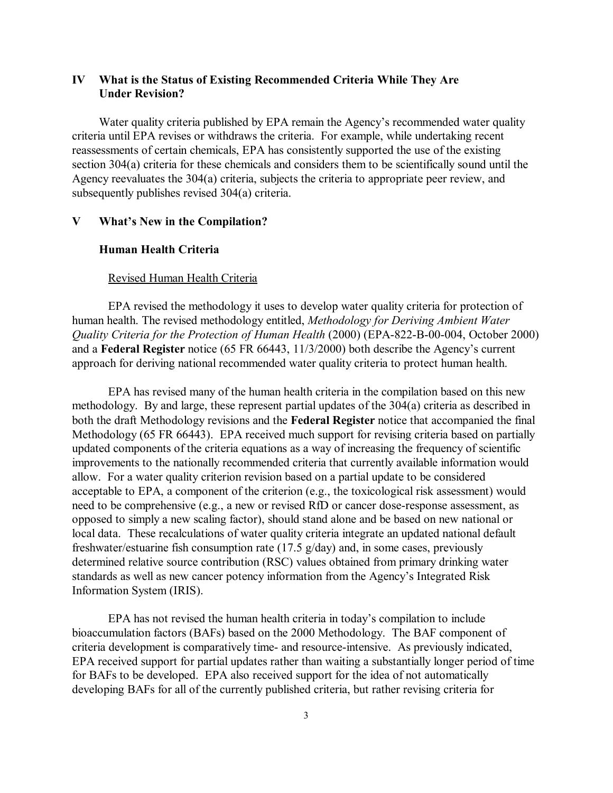## **IV What is the Status of Existing Recommended Criteria While They Are Under Revision?**

Water quality criteria published by EPA remain the Agency's recommended water quality criteria until EPA revises or withdraws the criteria. For example, while undertaking recent reassessments of certain chemicals, EPA has consistently supported the use of the existing section 304(a) criteria for these chemicals and considers them to be scientifically sound until the Agency reevaluates the 304(a) criteria, subjects the criteria to appropriate peer review, and subsequently publishes revised 304(a) criteria.

## **V What's New in the Compilation?**

## **Human Health Criteria**

## Revised Human Health Criteria

EPA revised the methodology it uses to develop water quality criteria for protection of human health. The revised methodology entitled, *Methodology for Deriving Ambient Water Quality Criteria for the Protection of Human Health* (2000) (EPA-822-B-00-004, October 2000) and a **Federal Register** notice (65 FR 66443, 11/3/2000) both describe the Agency's current approach for deriving national recommended water quality criteria to protect human health.

EPA has revised many of the human health criteria in the compilation based on this new methodology. By and large, these represent partial updates of the 304(a) criteria as described in both the draft Methodology revisions and the **Federal Register** notice that accompanied the final Methodology (65 FR 66443). EPA received much support for revising criteria based on partially updated components of the criteria equations as a way of increasing the frequency of scientific improvements to the nationally recommended criteria that currently available information would allow. For a water quality criterion revision based on a partial update to be considered acceptable to EPA, a component of the criterion (e.g., the toxicological risk assessment) would need to be comprehensive (e.g., a new or revised RfD or cancer dose-response assessment, as opposed to simply a new scaling factor), should stand alone and be based on new national or local data. These recalculations of water quality criteria integrate an updated national default freshwater/estuarine fish consumption rate (17.5 g/day) and, in some cases, previously determined relative source contribution (RSC) values obtained from primary drinking water standards as well as new cancer potency information from the Agency's Integrated Risk Information System (IRIS).

EPA has not revised the human health criteria in today's compilation to include bioaccumulation factors (BAFs) based on the 2000 Methodology. The BAF component of criteria development is comparatively time- and resource-intensive. As previously indicated, EPA received support for partial updates rather than waiting a substantially longer period of time for BAFs to be developed. EPA also received support for the idea of not automatically developing BAFs for all of the currently published criteria, but rather revising criteria for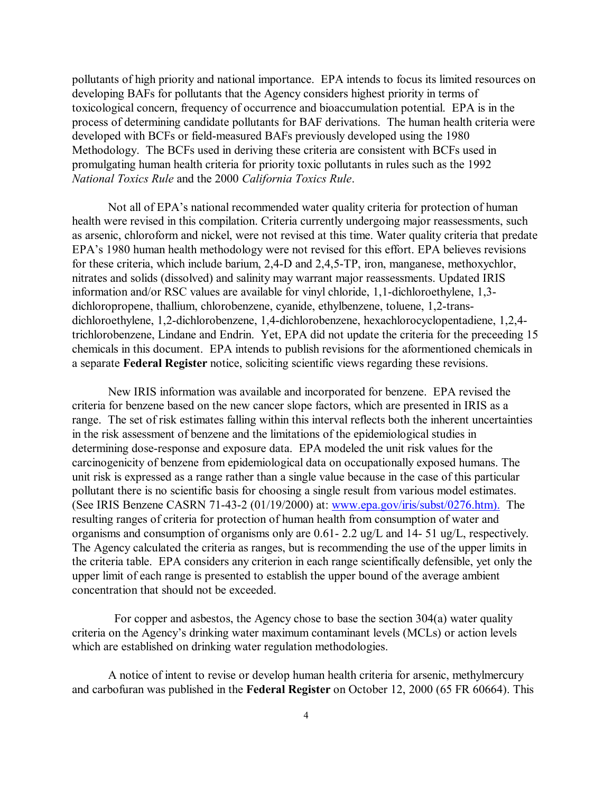pollutants of high priority and national importance. EPA intends to focus its limited resources on developing BAFs for pollutants that the Agency considers highest priority in terms of toxicological concern, frequency of occurrence and bioaccumulation potential. EPA is in the process of determining candidate pollutants for BAF derivations. The human health criteria were developed with BCFs or field-measured BAFs previously developed using the 1980 Methodology. The BCFs used in deriving these criteria are consistent with BCFs used in promulgating human health criteria for priority toxic pollutants in rules such as the 1992 *National Toxics Rule* and the 2000 *California Toxics Rule*.

Not all of EPA's national recommended water quality criteria for protection of human health were revised in this compilation. Criteria currently undergoing major reassessments, such as arsenic, chloroform and nickel, were not revised at this time. Water quality criteria that predate EPA's 1980 human health methodology were not revised for this effort. EPA believes revisions for these criteria, which include barium, 2,4-D and 2,4,5-TP, iron, manganese, methoxychlor, nitrates and solids (dissolved) and salinity may warrant major reassessments. Updated IRIS information and/or RSC values are available for vinyl chloride, 1,1-dichloroethylene, 1,3 dichloropropene, thallium, chlorobenzene, cyanide, ethylbenzene, toluene, 1,2-transdichloroethylene, 1,2-dichlorobenzene, 1,4-dichlorobenzene, hexachlorocyclopentadiene, 1,2,4 trichlorobenzene, Lindane and Endrin. Yet, EPA did not update the criteria for the preceeding 15 chemicals in this document. EPA intends to publish revisions for the aformentioned chemicals in a separate **Federal Register** notice, soliciting scientific views regarding these revisions.

New IRIS information was available and incorporated for benzene. EPA revised the criteria for benzene based on the new cancer slope factors, which are presented in IRIS as a range. The set of risk estimates falling within this interval reflects both the inherent uncertainties in the risk assessment of benzene and the limitations of the epidemiological studies in determining dose-response and exposure data. EPA modeled the unit risk values for the carcinogenicity of benzene from epidemiological data on occupationally exposed humans. The unit risk is expressed as a range rather than a single value because in the case of this particular pollutant there is no scientific basis for choosing a single result from various model estimates. (See IRIS Benzene CASRN 71-43-2 (01/19/2000) at: www.epa.gov/iris/subst/0276.htm). The resulting ranges of criteria for protection of human health from consumption of water and organisms and consumption of organisms only are 0.61- 2.2 ug/L and 14- 51 ug/L, respectively. The Agency calculated the criteria as ranges, but is recommending the use of the upper limits in the criteria table. EPA considers any criterion in each range scientifically defensible, yet only the upper limit of each range is presented to establish the upper bound of the average ambient concentration that should not be exceeded.

 For copper and asbestos, the Agency chose to base the section 304(a) water quality criteria on the Agency's drinking water maximum contaminant levels (MCLs) or action levels which are established on drinking water regulation methodologies.

A notice of intent to revise or develop human health criteria for arsenic, methylmercury and carbofuran was published in the **Federal Register** on October 12, 2000 (65 FR 60664). This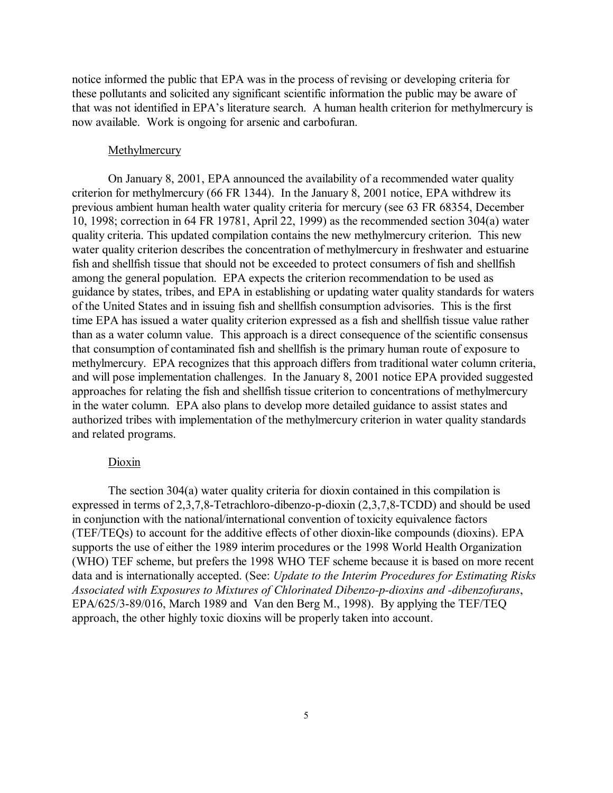notice informed the public that EPA was in the process of revising or developing criteria for these pollutants and solicited any significant scientific information the public may be aware of that was not identified in EPA's literature search. A human health criterion for methylmercury is now available. Work is ongoing for arsenic and carbofuran.

## Methylmercury

On January 8, 2001, EPA announced the availability of a recommended water quality criterion for methylmercury (66 FR 1344). In the January 8, 2001 notice, EPA withdrew its previous ambient human health water quality criteria for mercury (see 63 FR 68354, December 10, 1998; correction in 64 FR 19781, April 22, 1999) as the recommended section 304(a) water quality criteria. This updated compilation contains the new methylmercury criterion. This new water quality criterion describes the concentration of methylmercury in freshwater and estuarine fish and shellfish tissue that should not be exceeded to protect consumers of fish and shellfish among the general population. EPA expects the criterion recommendation to be used as guidance by states, tribes, and EPA in establishing or updating water quality standards for waters of the United States and in issuing fish and shellfish consumption advisories. This is the first time EPA has issued a water quality criterion expressed as a fish and shellfish tissue value rather than as a water column value. This approach is a direct consequence of the scientific consensus that consumption of contaminated fish and shellfish is the primary human route of exposure to methylmercury. EPA recognizes that this approach differs from traditional water column criteria, and will pose implementation challenges. In the January 8, 2001 notice EPA provided suggested approaches for relating the fish and shellfish tissue criterion to concentrations of methylmercury in the water column. EPA also plans to develop more detailed guidance to assist states and authorized tribes with implementation of the methylmercury criterion in water quality standards and related programs.

## Dioxin

The section 304(a) water quality criteria for dioxin contained in this compilation is expressed in terms of 2,3,7,8-Tetrachloro-dibenzo-p-dioxin (2,3,7,8-TCDD) and should be used in conjunction with the national/international convention of toxicity equivalence factors (TEF/TEQs) to account for the additive effects of other dioxin-like compounds (dioxins). EPA supports the use of either the 1989 interim procedures or the 1998 World Health Organization (WHO) TEF scheme, but prefers the 1998 WHO TEF scheme because it is based on more recent data and is internationally accepted. (See: *Update to the Interim Procedures for Estimating Risks Associated with Exposures to Mixtures of Chlorinated Dibenzo-p-dioxins and -dibenzofurans*, EPA/625/3-89/016, March 1989 and Van den Berg M., 1998). By applying the TEF/TEQ approach, the other highly toxic dioxins will be properly taken into account.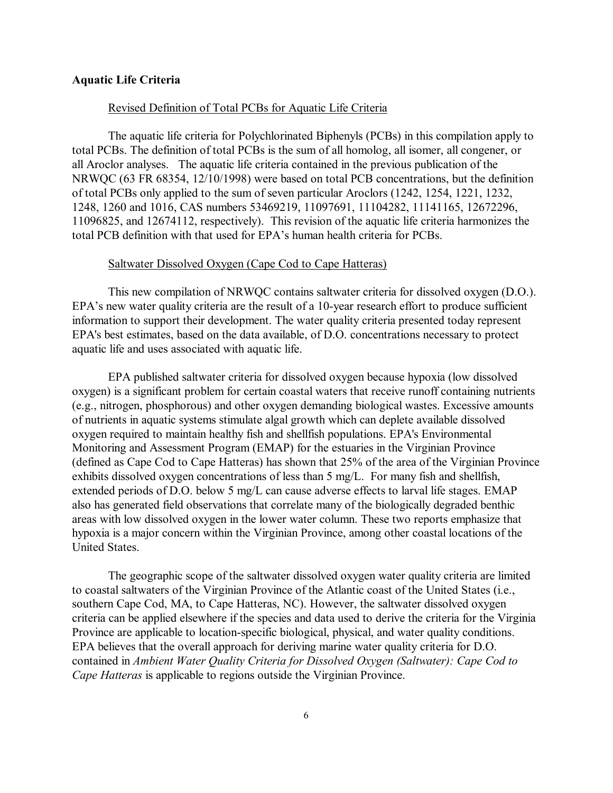## **Aquatic Life Criteria**

## Revised Definition of Total PCBs for Aquatic Life Criteria

The aquatic life criteria for Polychlorinated Biphenyls (PCBs) in this compilation apply to total PCBs. The definition of total PCBs is the sum of all homolog, all isomer, all congener, or all Aroclor analyses. The aquatic life criteria contained in the previous publication of the NRWQC (63 FR 68354, 12/10/1998) were based on total PCB concentrations, but the definition of total PCBs only applied to the sum of seven particular Aroclors (1242, 1254, 1221, 1232, 1248, 1260 and 1016, CAS numbers 53469219, 11097691, 11104282, 11141165, 12672296, 11096825, and 12674112, respectively). This revision of the aquatic life criteria harmonizes the total PCB definition with that used for EPA's human health criteria for PCBs.

## Saltwater Dissolved Oxygen (Cape Cod to Cape Hatteras)

This new compilation of NRWQC contains saltwater criteria for dissolved oxygen (D.O.). EPA's new water quality criteria are the result of a 10-year research effort to produce sufficient information to support their development. The water quality criteria presented today represent EPA's best estimates, based on the data available, of D.O. concentrations necessary to protect aquatic life and uses associated with aquatic life.

EPA published saltwater criteria for dissolved oxygen because hypoxia (low dissolved oxygen) is a significant problem for certain coastal waters that receive runoff containing nutrients (e.g., nitrogen, phosphorous) and other oxygen demanding biological wastes. Excessive amounts of nutrients in aquatic systems stimulate algal growth which can deplete available dissolved oxygen required to maintain healthy fish and shellfish populations. EPA's Environmental Monitoring and Assessment Program (EMAP) for the estuaries in the Virginian Province (defined as Cape Cod to Cape Hatteras) has shown that 25% of the area of the Virginian Province exhibits dissolved oxygen concentrations of less than 5 mg/L. For many fish and shellfish, extended periods of D.O. below 5 mg/L can cause adverse effects to larval life stages. EMAP also has generated field observations that correlate many of the biologically degraded benthic areas with low dissolved oxygen in the lower water column. These two reports emphasize that hypoxia is a major concern within the Virginian Province, among other coastal locations of the United States.

The geographic scope of the saltwater dissolved oxygen water quality criteria are limited to coastal saltwaters of the Virginian Province of the Atlantic coast of the United States (i.e., southern Cape Cod, MA, to Cape Hatteras, NC). However, the saltwater dissolved oxygen criteria can be applied elsewhere if the species and data used to derive the criteria for the Virginia Province are applicable to location-specific biological, physical, and water quality conditions. EPA believes that the overall approach for deriving marine water quality criteria for D.O. contained in *Ambient Water Quality Criteria for Dissolved Oxygen (Saltwater): Cape Cod to Cape Hatteras* is applicable to regions outside the Virginian Province.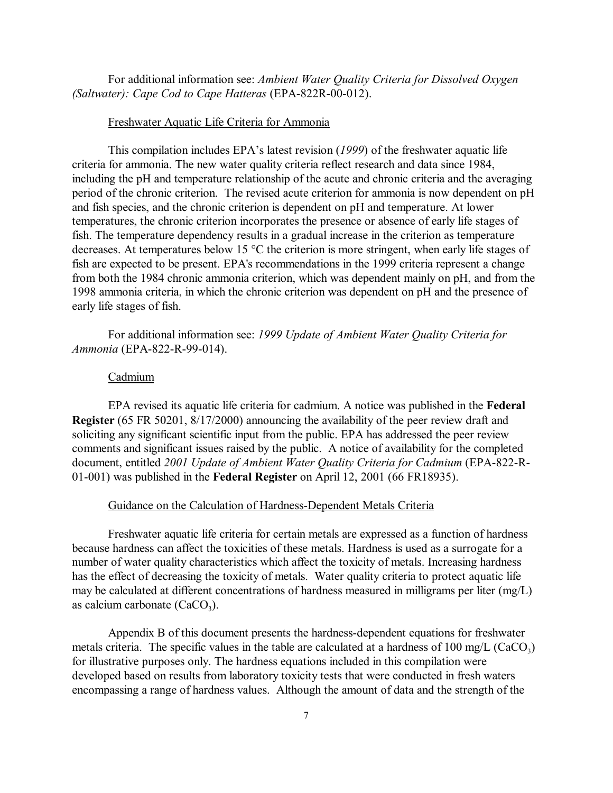For additional information see: *Ambient Water Quality Criteria for Dissolved Oxygen (Saltwater): Cape Cod to Cape Hatteras* (EPA-822R-00-012).

## Freshwater Aquatic Life Criteria for Ammonia

This compilation includes EPA's latest revision (*1999*) of the freshwater aquatic life criteria for ammonia. The new water quality criteria reflect research and data since 1984, including the pH and temperature relationship of the acute and chronic criteria and the averaging period of the chronic criterion. The revised acute criterion for ammonia is now dependent on pH and fish species, and the chronic criterion is dependent on pH and temperature. At lower temperatures, the chronic criterion incorporates the presence or absence of early life stages of fish. The temperature dependency results in a gradual increase in the criterion as temperature decreases. At temperatures below 15 °C the criterion is more stringent, when early life stages of fish are expected to be present. EPA's recommendations in the 1999 criteria represent a change from both the 1984 chronic ammonia criterion, which was dependent mainly on pH, and from the 1998 ammonia criteria, in which the chronic criterion was dependent on pH and the presence of early life stages of fish.

For additional information see: *1999 Update of Ambient Water Quality Criteria for Ammonia* (EPA-822-R-99-014).

## Cadmium

EPA revised its aquatic life criteria for cadmium. A notice was published in the **Federal Register** (65 FR 50201, 8/17/2000) announcing the availability of the peer review draft and soliciting any significant scientific input from the public. EPA has addressed the peer review comments and significant issues raised by the public. A notice of availability for the completed document, entitled *2001 Update of Ambient Water Quality Criteria for Cadmium* (EPA-822-R-01-001) was published in the **Federal Register** on April 12, 2001 (66 FR18935).

## Guidance on the Calculation of Hardness-Dependent Metals Criteria

Freshwater aquatic life criteria for certain metals are expressed as a function of hardness because hardness can affect the toxicities of these metals. Hardness is used as a surrogate for a number of water quality characteristics which affect the toxicity of metals. Increasing hardness has the effect of decreasing the toxicity of metals. Water quality criteria to protect aquatic life may be calculated at different concentrations of hardness measured in milligrams per liter (mg/L) as calcium carbonate  $(CaCO<sub>3</sub>)$ .

Appendix B of this document presents the hardness-dependent equations for freshwater metals criteria. The specific values in the table are calculated at a hardness of 100 mg/L (CaCO<sub>3</sub>) for illustrative purposes only. The hardness equations included in this compilation were developed based on results from laboratory toxicity tests that were conducted in fresh waters encompassing a range of hardness values. Although the amount of data and the strength of the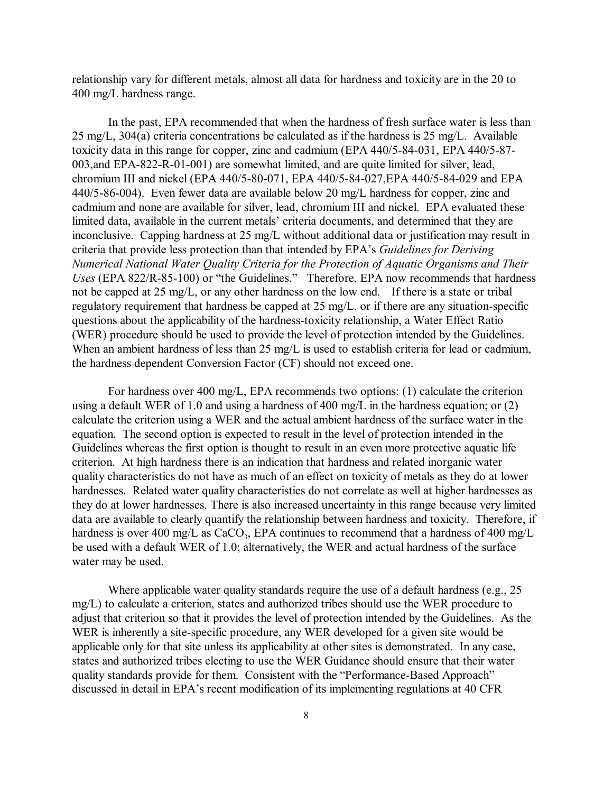relationship vary for different metals, almost all data for hardness and toxicity are in the 20 to 400 mg/L hardness range.

In the past, EPA recommended that when the hardness of fresh surface water is less than 25 mg/L, 304(a) criteria concentrations be calculated as if the hardness is 25 mg/L. Available toxicity data in this range for copper, zinc and cadmium (EPA 440/5-84-031, EPA 440/5-87- 003,and EPA-822-R-01-001) are somewhat limited, and are quite limited for silver, lead, chromium III and nickel (EPA 440/5-80-071, EPA 440/5-84-027,EPA 440/5-84-029 and EPA 440/5-86-004). Even fewer data are available below 20 mg/L hardness for copper, zinc and cadmium and none are available for silver, lead, chromium III and nickel. EPA evaluated these limited data, available in the current metals' criteria documents, and determined that they are inconclusive. Capping hardness at 25 mg/L without additional data or justification may result in criteria that provide less protection than that intended by EPA's *Guidelines for Deriving Numerical National Water Quality Criteria for the Protection of Aquatic Organisms and Their Uses* (EPA 822/R-85-100) or "the Guidelines." Therefore, EPA now recommends that hardness not be capped at 25 mg/L, or any other hardness on the low end. If there is a state or tribal regulatory requirement that hardness be capped at 25 mg/L, or if there are any situation-specific questions about the applicability of the hardness-toxicity relationship, a Water Effect Ratio (WER) procedure should be used to provide the level of protection intended by the Guidelines. When an ambient hardness of less than 25 mg/L is used to establish criteria for lead or cadmium, the hardness dependent Conversion Factor (CF) should not exceed one.

For hardness over 400 mg/L, EPA recommends two options: (1) calculate the criterion using a default WER of 1.0 and using a hardness of 400 mg/L in the hardness equation; or (2) calculate the criterion using a WER and the actual ambient hardness of the surface water in the equation. The second option is expected to result in the level of protection intended in the Guidelines whereas the first option is thought to result in an even more protective aquatic life criterion. At high hardness there is an indication that hardness and related inorganic water quality characteristics do not have as much of an effect on toxicity of metals as they do at lower hardnesses. Related water quality characteristics do not correlate as well at higher hardnesses as they do at lower hardnesses. There is also increased uncertainty in this range because very limited data are available to clearly quantify the relationship between hardness and toxicity. Therefore, if hardness is over 400 mg/L as  $CaCO<sub>3</sub>$ , EPA continues to recommend that a hardness of 400 mg/L be used with a default WER of 1.0; alternatively, the WER and actual hardness of the surface water may be used.

Where applicable water quality standards require the use of a default hardness (e.g., 25) mg/L) to calculate a criterion, states and authorized tribes should use the WER procedure to adjust that criterion so that it provides the level of protection intended by the Guidelines. As the WER is inherently a site-specific procedure, any WER developed for a given site would be applicable only for that site unless its applicability at other sites is demonstrated. In any case, states and authorized tribes electing to use the WER Guidance should ensure that their water quality standards provide for them. Consistent with the "Performance-Based Approach" discussed in detail in EPA's recent modification of its implementing regulations at 40 CFR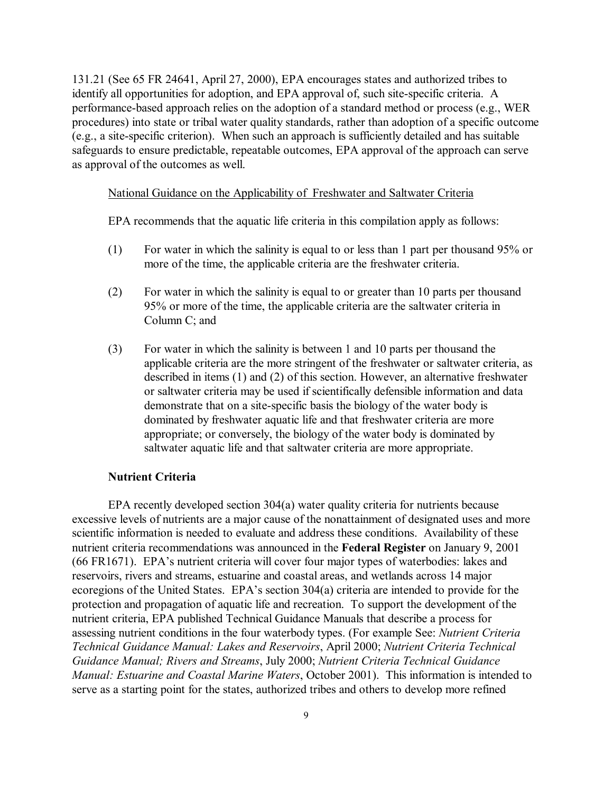131.21 (See 65 FR 24641, April 27, 2000), EPA encourages states and authorized tribes to identify all opportunities for adoption, and EPA approval of, such site-specific criteria. A performance-based approach relies on the adoption of a standard method or process (e.g., WER procedures) into state or tribal water quality standards, rather than adoption of a specific outcome (e.g., a site-specific criterion). When such an approach is sufficiently detailed and has suitable safeguards to ensure predictable, repeatable outcomes, EPA approval of the approach can serve as approval of the outcomes as well.

## National Guidance on the Applicability of Freshwater and Saltwater Criteria

EPA recommends that the aquatic life criteria in this compilation apply as follows:

- (1) For water in which the salinity is equal to or less than 1 part per thousand 95% or more of the time, the applicable criteria are the freshwater criteria.
- (2) For water in which the salinity is equal to or greater than 10 parts per thousand 95% or more of the time, the applicable criteria are the saltwater criteria in Column C; and
- (3) For water in which the salinity is between 1 and 10 parts per thousand the applicable criteria are the more stringent of the freshwater or saltwater criteria, as described in items (1) and (2) of this section. However, an alternative freshwater or saltwater criteria may be used if scientifically defensible information and data demonstrate that on a site-specific basis the biology of the water body is dominated by freshwater aquatic life and that freshwater criteria are more appropriate; or conversely, the biology of the water body is dominated by saltwater aquatic life and that saltwater criteria are more appropriate.

## **Nutrient Criteria**

EPA recently developed section 304(a) water quality criteria for nutrients because excessive levels of nutrients are a major cause of the nonattainment of designated uses and more scientific information is needed to evaluate and address these conditions. Availability of these nutrient criteria recommendations was announced in the **Federal Register** on January 9, 2001 (66 FR1671). EPA's nutrient criteria will cover four major types of waterbodies: lakes and reservoirs, rivers and streams, estuarine and coastal areas, and wetlands across 14 major ecoregions of the United States. EPA's section 304(a) criteria are intended to provide for the protection and propagation of aquatic life and recreation. To support the development of the nutrient criteria, EPA published Technical Guidance Manuals that describe a process for assessing nutrient conditions in the four waterbody types. (For example See: *Nutrient Criteria Technical Guidance Manual: Lakes and Reservoirs*, April 2000; *Nutrient Criteria Technical Guidance Manual; Rivers and Streams*, July 2000; *Nutrient Criteria Technical Guidance Manual: Estuarine and Coastal Marine Waters*, October 2001). This information is intended to serve as a starting point for the states, authorized tribes and others to develop more refined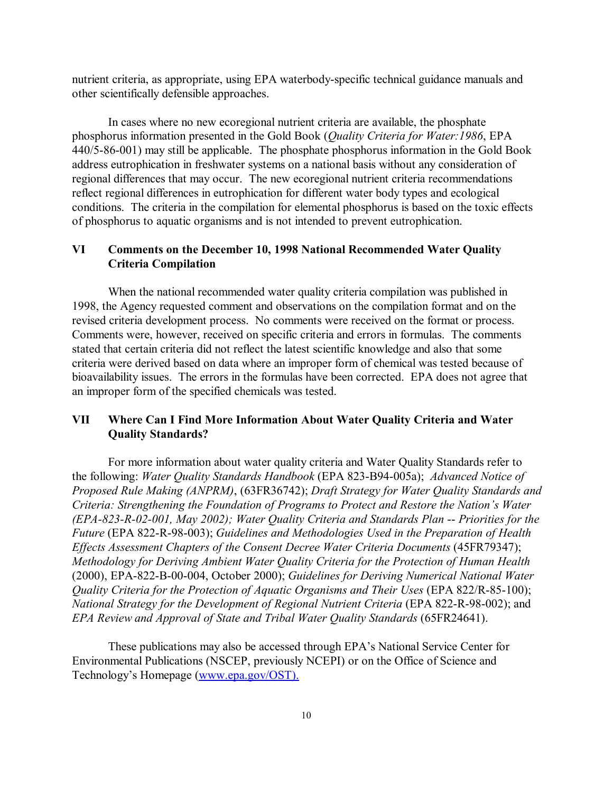nutrient criteria, as appropriate, using EPA waterbody-specific technical guidance manuals and other scientifically defensible approaches.

In cases where no new ecoregional nutrient criteria are available, the phosphate phosphorus information presented in the Gold Book (*Quality Criteria for Water:1986*, EPA 440/5-86-001) may still be applicable. The phosphate phosphorus information in the Gold Book address eutrophication in freshwater systems on a national basis without any consideration of regional differences that may occur. The new ecoregional nutrient criteria recommendations reflect regional differences in eutrophication for different water body types and ecological conditions. The criteria in the compilation for elemental phosphorus is based on the toxic effects of phosphorus to aquatic organisms and is not intended to prevent eutrophication.

## **VI Comments on the December 10, 1998 National Recommended Water Quality Criteria Compilation**

When the national recommended water quality criteria compilation was published in 1998, the Agency requested comment and observations on the compilation format and on the revised criteria development process. No comments were received on the format or process. Comments were, however, received on specific criteria and errors in formulas. The comments stated that certain criteria did not reflect the latest scientific knowledge and also that some criteria were derived based on data where an improper form of chemical was tested because of bioavailability issues. The errors in the formulas have been corrected. EPA does not agree that an improper form of the specified chemicals was tested.

## **VII Where Can I Find More Information About Water Quality Criteria and Water Quality Standards?**

For more information about water quality criteria and Water Quality Standards refer to the following: *Water Quality Standards Handbook* (EPA 823-B94-005a); *Advanced Notice of Proposed Rule Making (ANPRM)*, (63FR36742); *Draft Strategy for Water Quality Standards and Criteria: Strengthening the Foundation of Programs to Protect and Restore the Nation's Water (EPA-823-R-02-001, May 2002); Water Quality Criteria and Standards Plan* -- *Priorities for the Future* (EPA 822-R-98-003); *Guidelines and Methodologies Used in the Preparation of Health Effects Assessment Chapters of the Consent Decree Water Criteria Documents* (45FR79347); *Methodology for Deriving Ambient Water Quality Criteria for the Protection of Human Health* (2000), EPA-822-B-00-004, October 2000); *Guidelines for Deriving Numerical National Water Quality Criteria for the Protection of Aquatic Organisms and Their Uses* (EPA 822/R-85-100); *National Strategy for the Development of Regional Nutrient Criteria* (EPA 822-R-98-002); and *EPA Review and Approval of State and Tribal Water Quality Standards* (65FR24641).

These publications may also be accessed through EPA's National Service Center for Environmental Publications (NSCEP, previously NCEPI) or on the Office of Science and Technology's Homepage (www.epa.gov/OST).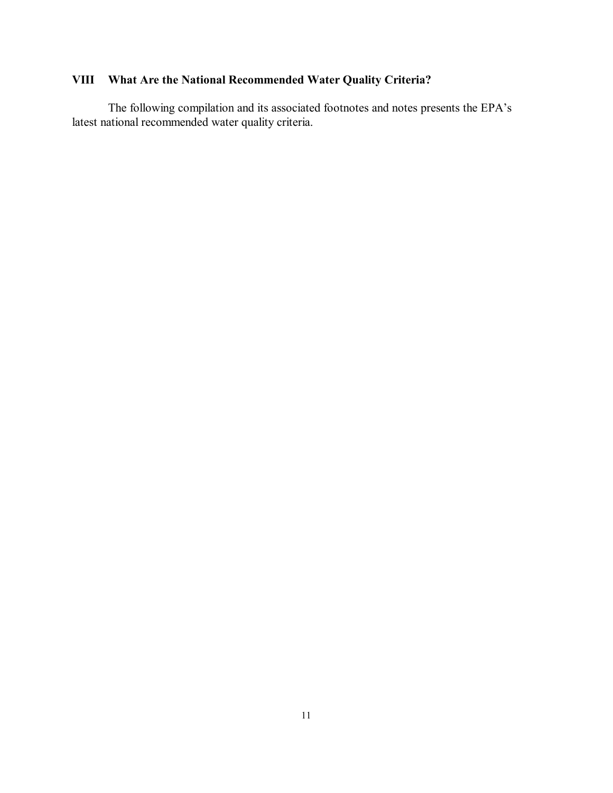# **VIII What Are the National Recommended Water Quality Criteria?**

The following compilation and its associated footnotes and notes presents the EPA's latest national recommended water quality criteria.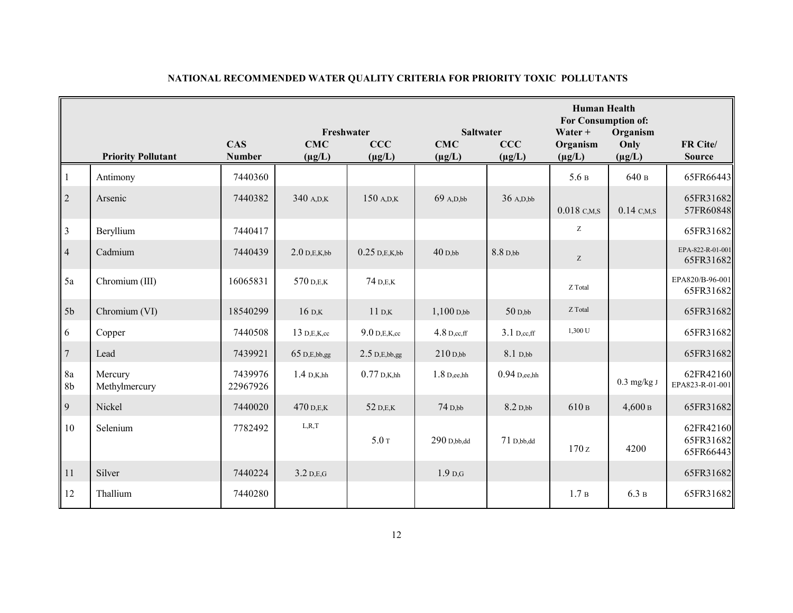|                                 |                           |                             | Freshwater<br><b>Saltwater</b> |                               |                           |                    | <b>Human Health</b><br><b>For Consumption of:</b><br>Water $+$ |                                 |                                     |
|---------------------------------|---------------------------|-----------------------------|--------------------------------|-------------------------------|---------------------------|--------------------|----------------------------------------------------------------|---------------------------------|-------------------------------------|
|                                 | <b>Priority Pollutant</b> | <b>CAS</b><br><b>Number</b> | <b>CMC</b><br>$(\mu g/L)$      | CCC<br>$(\mu g/L)$            | <b>CMC</b><br>$(\mu g/L)$ | CCC<br>$(\mu g/L)$ | Organism<br>$(\mu g/L)$                                        | Organism<br>Only<br>$(\mu g/L)$ | FR Cite/<br><b>Source</b>           |
| $\mathbf{1}$                    | Antimony                  | 7440360                     |                                |                               |                           |                    | 5.6B                                                           | 640 в                           | 65FR66443                           |
| $\sqrt{2}$                      | Arsenic                   | 7440382                     | 340 A,D,K                      | $150$ A,D,K                   | $69$ A,D,bb               | 36 A,D,bb          | $0.018$ C,M,S                                                  | $0.14$ C,M,S                    | 65FR31682<br>57FR60848              |
| $\mathfrak{Z}$                  | Beryllium                 | 7440417                     |                                |                               |                           |                    | Z                                                              |                                 | 65FR31682                           |
| $\overline{4}$                  | Cadmium                   | 7440439                     | $2.0$ D,E,K,bb                 | $0.25$ D,E,K,bb               | $40$ D,bb                 | 8.8 D,bb           | $\ensuremath{\mathbf{Z}}$                                      |                                 | EPA-822-R-01-001<br>65FR31682       |
| 5a                              | Chromium (III)            | 16065831                    | 570 D.E.K                      | 74 D,E,K                      |                           |                    | Z Total                                                        |                                 | EPA820/B-96-001<br>65FR31682        |
| 5 <sub>b</sub>                  | Chromium (VI)             | 18540299                    | $16$ D,K                       | $11\,\mathrm{D}$ <sub>K</sub> | $1,100$ $D,bb$            | $50$ D,bb          | Z Total                                                        |                                 | 65FR31682                           |
| 6                               | Copper                    | 7440508                     | 13 D,E,K,cc                    | $9.0$ D,E,K,cc                | $4.8$ D,cc,ff             | $3.1$ D,cc,ff      | 1,300 U                                                        |                                 | 65FR31682                           |
| $\overline{7}$                  | Lead                      | 7439921                     | 65 D,E,bb,gg                   | $2.5$ D,E,bb,gg               | $210$ D,bb                | 8.1 D,bb           |                                                                |                                 | 65FR31682                           |
| $8\mathrm{a}$<br>8 <sub>b</sub> | Mercury<br>Methylmercury  | 7439976<br>22967926         | $1.4\,$ D,K,hh                 | $0.77$ D,K,hh                 | $1.8$ D,ee,hh             | $0.94$ D,ee,hh     |                                                                | $0.3$ mg/kg J                   | 62FR42160<br>EPA823-R-01-001        |
| 9                               | Nickel                    | 7440020                     | 470 D.E.K                      | 52 D,E,K                      | 74 D,bb                   | $8.2$ D,bb         | 610 в                                                          | 4,600B                          | 65FR31682                           |
| 10                              | Selenium                  | 7782492                     | L, R, T                        | 5.0 <sub>T</sub>              | $290$ D,bb,dd             | $71D$ , bb, dd     | 170z                                                           | 4200                            | 62FR42160<br>65FR31682<br>65FR66443 |
| 11                              | Silver                    | 7440224                     | $3.2$ D,E,G                    |                               | 1.9 <sub>D,G</sub>        |                    |                                                                |                                 | 65FR31682                           |
| 12                              | Thallium                  | 7440280                     |                                |                               |                           |                    | 1.7 <sub>B</sub>                                               | 6.3 в                           | 65FR31682                           |

## **NATIONAL RECOMMENDED WATER QUALITY CRITERIA FOR PRIORITY TOXIC POLLUTANTS**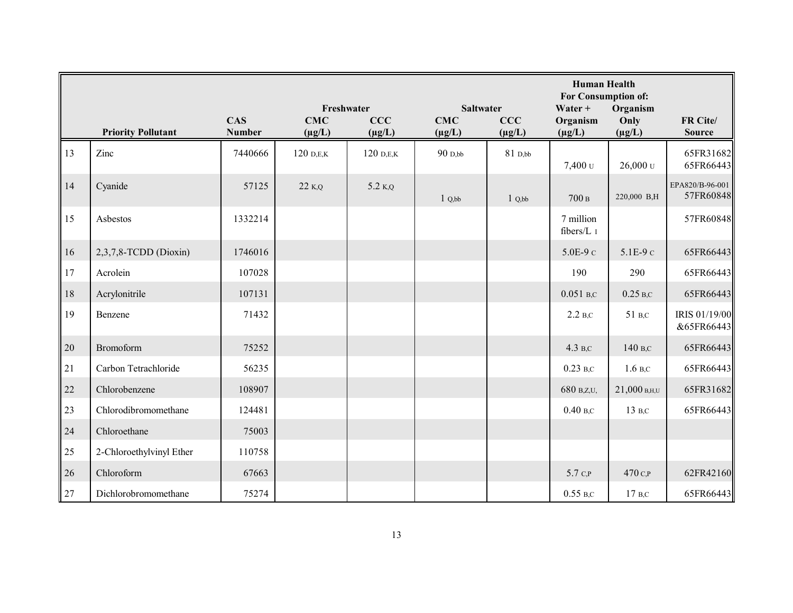|        |                           |                             | Freshwater<br><b>Saltwater</b> |             |             |             | <b>Human Health</b><br>For Consumption of:<br>Water $+$ |                  |                              |
|--------|---------------------------|-----------------------------|--------------------------------|-------------|-------------|-------------|---------------------------------------------------------|------------------|------------------------------|
|        |                           | <b>CAS</b><br><b>Number</b> | <b>CMC</b>                     | CCC         | <b>CMC</b>  | CCC         | Organism                                                | Organism<br>Only | FR Cite/                     |
|        | <b>Priority Pollutant</b> |                             | $(\mu g/L)$                    | $(\mu g/L)$ | $(\mu g/L)$ | $(\mu g/L)$ | $(\mu g/L)$                                             | $(\mu g/L)$      | <b>Source</b>                |
| 13     | Zinc                      | 7440666                     | $120$ D,E,K                    | $120$ D,E,K | $90$ D,bb   | 81 D,bb     | 7,400 <sub>U</sub>                                      | $26,000$ U       | 65FR31682<br>65FR66443       |
| 14     | Cyanide                   | 57125                       | $22$ K,Q                       | 5.2 K,Q     | 1 Q, bb     | 1 Q, bb     | 700B                                                    | 220,000 B,H      | EPA820/B-96-001<br>57FR60848 |
| 15     | Asbestos                  | 1332214                     |                                |             |             |             | 7 million<br>fibers/L I                                 |                  | 57FR60848                    |
| 16     | $2,3,7,8$ -TCDD (Dioxin)  | 1746016                     |                                |             |             |             | $5.0E-9c$                                               | $5.1E-9c$        | 65FR66443                    |
| 17     | Acrolein                  | 107028                      |                                |             |             |             | 190                                                     | 290              | 65FR66443                    |
| 18     | Acrylonitrile             | 107131                      |                                |             |             |             | $0.051$ B,C                                             | $0.25$ B,C       | 65FR66443                    |
| 19     | Benzene                   | 71432                       |                                |             |             |             | $2.2$ B,C                                               | 51 B,C           | IRIS 01/19/00<br>&65FR66443  |
| 20     | Bromoform                 | 75252                       |                                |             |             |             | 4.3 B,C                                                 | 140 в.с          | 65FR66443                    |
| 21     | Carbon Tetrachloride      | 56235                       |                                |             |             |             | $0.23$ B,C                                              | 1.6 B.C          | 65FR66443                    |
| $22\,$ | Chlorobenzene             | 108907                      |                                |             |             |             | 680 B,Z,U,                                              | $21,000$ B,H,U   | 65FR31682                    |
| 23     | Chlorodibromomethane      | 124481                      |                                |             |             |             | $0.40$ B,C                                              | 13 B,C           | 65FR66443                    |
| 24     | Chloroethane              | 75003                       |                                |             |             |             |                                                         |                  |                              |
| 25     | 2-Chloroethylvinyl Ether  | 110758                      |                                |             |             |             |                                                         |                  |                              |
| 26     | Chloroform                | 67663                       |                                |             |             |             | 5.7 C.P                                                 | 470 с.           | 62FR42160                    |
| 27     | Dichlorobromomethane      | 75274                       |                                |             |             |             | $0.55$ B,C                                              | $17B$ .C         | 65FR66443                    |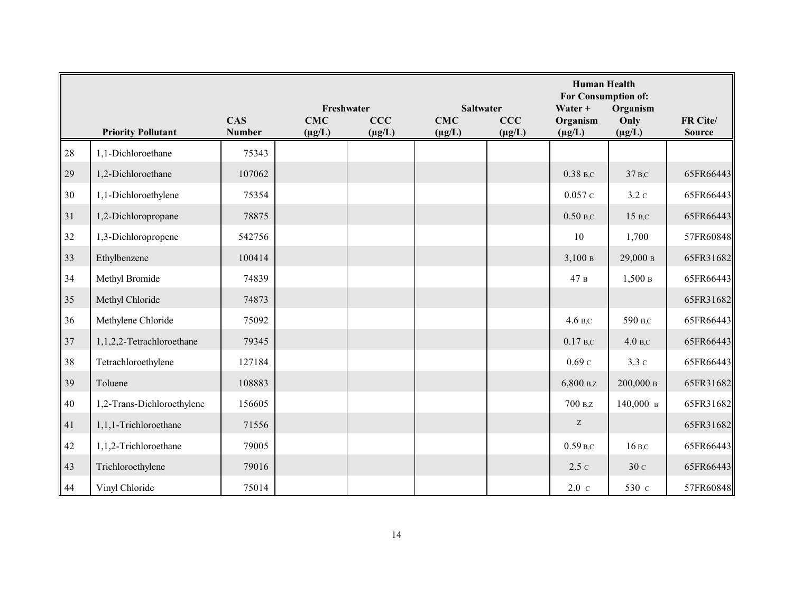|        |                            |                             | Freshwater<br><b>Saltwater</b> |                    |                           |                    | <b>Human Health</b><br>For Consumption of:<br>Water + |                                 |                           |
|--------|----------------------------|-----------------------------|--------------------------------|--------------------|---------------------------|--------------------|-------------------------------------------------------|---------------------------------|---------------------------|
|        | <b>Priority Pollutant</b>  | <b>CAS</b><br><b>Number</b> | <b>CMC</b><br>$(\mu g/L)$      | CCC<br>$(\mu g/L)$ | <b>CMC</b><br>$(\mu g/L)$ | CCC<br>$(\mu g/L)$ | Organism<br>$(\mu g/L)$                               | Organism<br>Only<br>$(\mu g/L)$ | FR Cite/<br><b>Source</b> |
| 28     | 1,1-Dichloroethane         | 75343                       |                                |                    |                           |                    |                                                       |                                 |                           |
| 29     | 1,2-Dichloroethane         | 107062                      |                                |                    |                           |                    | $0.38$ <sub>B,C</sub>                                 | 37 <sub>B,C</sub>               | 65FR66443                 |
| 30     | 1,1-Dichloroethylene       | 75354                       |                                |                    |                           |                    | 0.057c                                                | 3.2c                            | 65FR66443                 |
| 31     | 1,2-Dichloropropane        | 78875                       |                                |                    |                           |                    | $0.50$ B,C                                            | 15 B,C                          | 65FR66443                 |
| 32     | 1,3-Dichloropropene        | 542756                      |                                |                    |                           |                    | 10                                                    | 1,700                           | 57FR60848                 |
| 33     | Ethylbenzene               | 100414                      |                                |                    |                           |                    | 3,100B                                                | 29,000 в                        | 65FR31682                 |
| 34     | Methyl Bromide             | 74839                       |                                |                    |                           |                    | 47 в                                                  | 1,500B                          | 65FR66443                 |
| 35     | Methyl Chloride            | 74873                       |                                |                    |                           |                    |                                                       |                                 | 65FR31682                 |
| 36     | Methylene Chloride         | 75092                       |                                |                    |                           |                    | $4.6$ B,C                                             | 590 B,C                         | 65FR66443                 |
| 37     | 1,1,2,2-Tetrachloroethane  | 79345                       |                                |                    |                           |                    | $0.17$ B,C                                            | 4.0 B <sub>c</sub>              | 65FR66443                 |
| 38     | Tetrachloroethylene        | 127184                      |                                |                    |                           |                    | 0.69c                                                 | 3.3c                            | 65FR66443                 |
| 39     | Toluene                    | 108883                      |                                |                    |                           |                    | 6,800 B,Z                                             | 200,000 в                       | 65FR31682                 |
| $40\,$ | 1,2-Trans-Dichloroethylene | 156605                      |                                |                    |                           |                    | $700 B_z$                                             | $140,000\,$ в                   | 65FR31682                 |
| 41     | 1,1,1-Trichloroethane      | 71556                       |                                |                    |                           |                    | Z                                                     |                                 | 65FR31682                 |
| 42     | 1,1,2-Trichloroethane      | 79005                       |                                |                    |                           |                    | $0.59$ B,C                                            | $16B$ ,C                        | 65FR66443                 |
| 43     | Trichloroethylene          | 79016                       |                                |                    |                           |                    | 2.5c                                                  | 30 с                            | 65FR66443                 |
| 44     | Vinyl Chloride             | 75014                       |                                |                    |                           |                    | $2.0\text{ c}$                                        | 530 с                           | 57FR60848                 |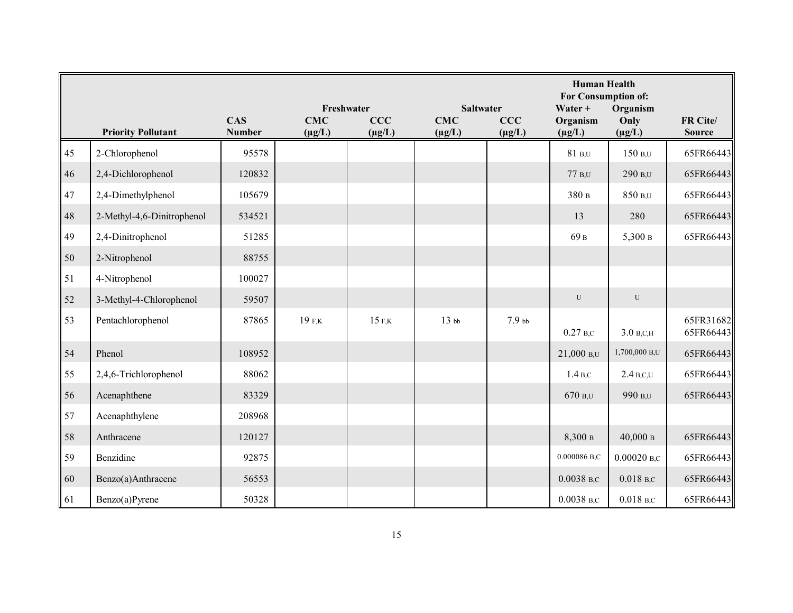|    |                            |                             | Freshwater<br><b>Saltwater</b> |             |                  |                   | <b>Human Health</b><br>For Consumption of:<br>Water + |                        |                        |
|----|----------------------------|-----------------------------|--------------------------------|-------------|------------------|-------------------|-------------------------------------------------------|------------------------|------------------------|
|    |                            | <b>CAS</b><br><b>Number</b> | <b>CMC</b>                     | CCC         | <b>CMC</b>       | CCC               | Organism                                              | Organism<br>Only       | FR Cite/               |
|    | <b>Priority Pollutant</b>  |                             | $(\mu g/L)$                    | $(\mu g/L)$ | $(\mu g/L)$      | $(\mu g/L)$       | $(\mu g/L)$                                           | $(\mu g/L)$            | <b>Source</b>          |
| 45 | 2-Chlorophenol             | 95578                       |                                |             |                  |                   | 81 B.U                                                | 150 B,U                | 65FR66443              |
| 46 | 2,4-Dichlorophenol         | 120832                      |                                |             |                  |                   | $77B$ ,U                                              | 290 B,U                | 65FR66443              |
| 47 | 2,4-Dimethylphenol         | 105679                      |                                |             |                  |                   | 380 в                                                 | 850 B,U                | 65FR66443              |
| 48 | 2-Methyl-4,6-Dinitrophenol | 534521                      |                                |             |                  |                   | 13                                                    | 280                    | 65FR66443              |
| 49 | 2,4-Dinitrophenol          | 51285                       |                                |             |                  |                   | 69 в                                                  | 5,300 в                | 65FR66443              |
| 50 | 2-Nitrophenol              | 88755                       |                                |             |                  |                   |                                                       |                        |                        |
| 51 | 4-Nitrophenol              | 100027                      |                                |             |                  |                   |                                                       |                        |                        |
| 52 | 3-Methyl-4-Chlorophenol    | 59507                       |                                |             |                  |                   | ${\bf U}$                                             | ${\bf U}$              |                        |
| 53 | Pentachlorophenol          | 87865                       | 19 F,K                         | 15 F.K      | 13 <sub>bb</sub> | 7.9 <sub>bb</sub> | $0.27$ B,C                                            | $3.0 B$ , C, H         | 65FR31682<br>65FR66443 |
| 54 | Phenol                     | 108952                      |                                |             |                  |                   | 21,000 B, U                                           | 1,700,000 B,U          | 65FR66443              |
| 55 | 2,4,6-Trichlorophenol      | 88062                       |                                |             |                  |                   | 1.4 <sub>B,C</sub>                                    | $2.4$ B,C,U            | 65FR66443              |
| 56 | Acenaphthene               | 83329                       |                                |             |                  |                   | 670 B,U                                               | 990 B,U                | 65FR66443              |
| 57 | Acenaphthylene             | 208968                      |                                |             |                  |                   |                                                       |                        |                        |
| 58 | Anthracene                 | 120127                      |                                |             |                  |                   | 8,300 в                                               | 40,000 в               | 65FR66443              |
| 59 | Benzidine                  | 92875                       |                                |             |                  |                   | 0.000086 B,C                                          | $0.00020$ B,C          | 65FR66443              |
| 60 | Benzo(a)Anthracene         | 56553                       |                                |             |                  |                   | $0.0038$ B,C                                          | $0.018$ <sub>B,C</sub> | 65FR66443              |
| 61 | Benzo(a)Pyrene             | 50328                       |                                |             |                  |                   | $0.0038$ B,C                                          | $0.018$ <sub>B,C</sub> | 65FR66443              |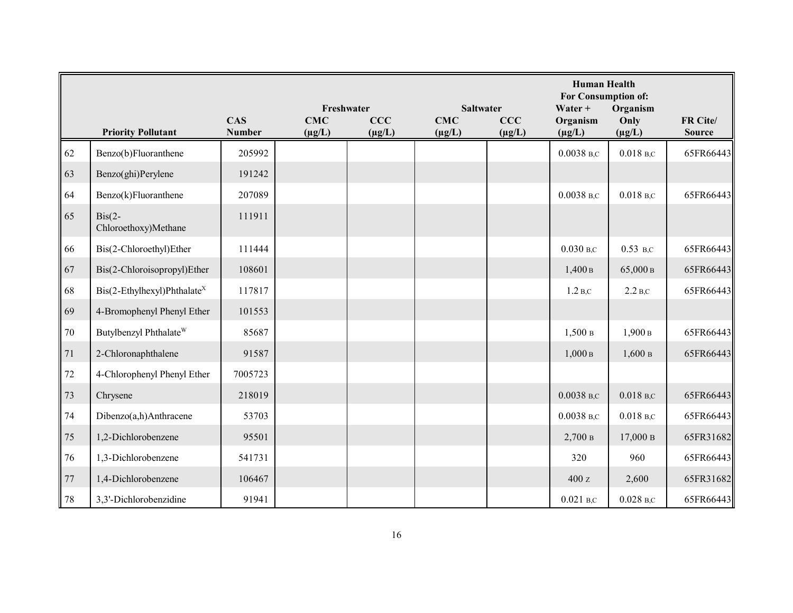|        |                                                     |                             |                           | Freshwater<br><b>Saltwater</b> |                           |                    |                         | <b>Human Health</b><br>For Consumption of:<br>Organism<br>Water + |                           |  |
|--------|-----------------------------------------------------|-----------------------------|---------------------------|--------------------------------|---------------------------|--------------------|-------------------------|-------------------------------------------------------------------|---------------------------|--|
|        | <b>Priority Pollutant</b>                           | <b>CAS</b><br><b>Number</b> | <b>CMC</b><br>$(\mu g/L)$ | <b>CCC</b><br>$(\mu g/L)$      | <b>CMC</b><br>$(\mu g/L)$ | CCC<br>$(\mu g/L)$ | Organism<br>$(\mu g/L)$ | Only<br>$(\mu g/L)$                                               | FR Cite/<br><b>Source</b> |  |
| 62     | Benzo(b)Fluoranthene                                | 205992                      |                           |                                |                           |                    | $0.0038$ B,C            | $0.018$ <sub>B.C</sub>                                            | 65FR66443                 |  |
|        |                                                     |                             |                           |                                |                           |                    |                         |                                                                   |                           |  |
| 63     | Benzo(ghi)Perylene                                  | 191242                      |                           |                                |                           |                    |                         |                                                                   |                           |  |
| 64     | Benzo(k)Fluoranthene                                | 207089                      |                           |                                |                           |                    | $0.0038$ B,C            | $0.018$ B,C                                                       | 65FR66443                 |  |
| 65     | $\operatorname{Bis}(2-)$<br>Chloroethoxy)Methane    | 111911                      |                           |                                |                           |                    |                         |                                                                   |                           |  |
| 66     | Bis(2-Chloroethyl)Ether                             | 111444                      |                           |                                |                           |                    | $0.030$ B,C             | $0.53$ B,C                                                        | 65FR66443                 |  |
| 67     | Bis(2-Chloroisopropyl)Ether                         | 108601                      |                           |                                |                           |                    | 1,400B                  | 65,000 в                                                          | 65FR66443                 |  |
| 68     | $\text{Bis}(2-\text{Ethylhexyl})\text{Phthalate}^X$ | 117817                      |                           |                                |                           |                    | 1.2 <sub>B,C</sub>      | 2.2 <sub>B,C</sub>                                                | 65FR66443                 |  |
| 69     | 4-Bromophenyl Phenyl Ether                          | 101553                      |                           |                                |                           |                    |                         |                                                                   |                           |  |
| $70\,$ | Butylbenzyl Phthalate <sup>W</sup>                  | 85687                       |                           |                                |                           |                    | 1,500B                  | 1,900B                                                            | 65FR66443                 |  |
| $71\,$ | 2-Chloronaphthalene                                 | 91587                       |                           |                                |                           |                    | 1,000B                  | 1,600B                                                            | 65FR66443                 |  |
| $72\,$ | 4-Chlorophenyl Phenyl Ether                         | 7005723                     |                           |                                |                           |                    |                         |                                                                   |                           |  |
| 73     | Chrysene                                            | 218019                      |                           |                                |                           |                    | $0.0038$ B,C            | $0.018$ <sub>B,C</sub>                                            | 65FR66443                 |  |
| 74     | Dibenzo(a,h)Anthracene                              | 53703                       |                           |                                |                           |                    | $0.0038$ B,C            | $0.018$ B,C                                                       | 65FR66443                 |  |
| 75     | 1,2-Dichlorobenzene                                 | 95501                       |                           |                                |                           |                    | 2,700 B                 | 17,000 в                                                          | 65FR31682                 |  |
| 76     | 1,3-Dichlorobenzene                                 | 541731                      |                           |                                |                           |                    | 320                     | 960                                                               | 65FR66443                 |  |
| $77$   | 1,4-Dichlorobenzene                                 | 106467                      |                           |                                |                           |                    | 400 z                   | 2,600                                                             | 65FR31682                 |  |
| 78     | 3,3'-Dichlorobenzidine                              | 91941                       |                           |                                |                           |                    | $0.021$ B,C             | $0.028$ <sub>B,C</sub>                                            | 65FR66443                 |  |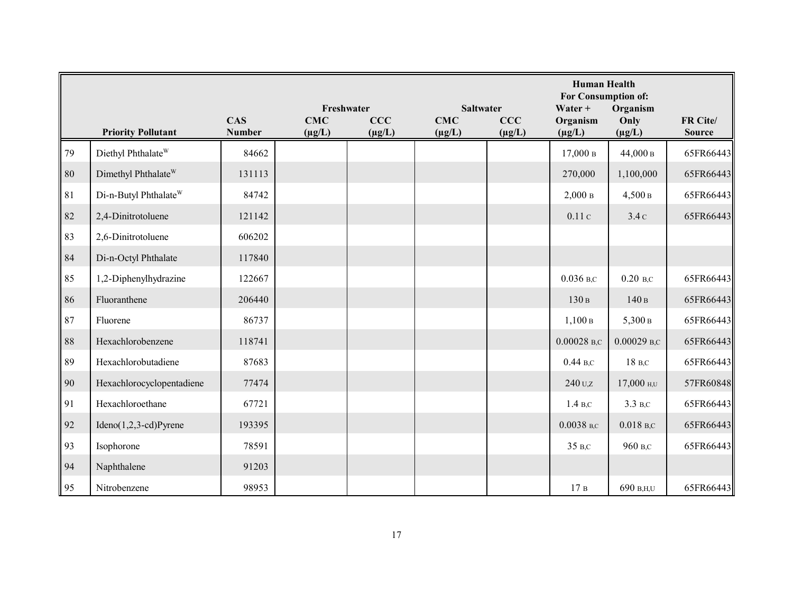|          |                                   |                             | Freshwater<br><b>Saltwater</b> |                    |                           |                    | <b>Human Health</b><br>For Consumption of:<br>Water $+$ |                                 |                           |
|----------|-----------------------------------|-----------------------------|--------------------------------|--------------------|---------------------------|--------------------|---------------------------------------------------------|---------------------------------|---------------------------|
|          | <b>Priority Pollutant</b>         | <b>CAS</b><br><b>Number</b> | <b>CMC</b><br>$(\mu g/L)$      | CCC<br>$(\mu g/L)$ | <b>CMC</b><br>$(\mu g/L)$ | CCC<br>$(\mu g/L)$ | Organism<br>$(\mu g/L)$                                 | Organism<br>Only<br>$(\mu g/L)$ | FR Cite/<br><b>Source</b> |
| 79       | Diethyl Phthalate <sup>W</sup>    | 84662                       |                                |                    |                           |                    | $17,000$ в                                              | 44,000 в                        | 65FR66443                 |
| $\rm 80$ | Dimethyl Phthalate <sup>W</sup>   | 131113                      |                                |                    |                           |                    | 270,000                                                 | 1,100,000                       | 65FR66443                 |
| 81       | Di-n-Butyl Phthalate <sup>W</sup> | 84742                       |                                |                    |                           |                    | 2,000B                                                  | 4,500B                          | 65FR66443                 |
| 82       | 2,4-Dinitrotoluene                | 121142                      |                                |                    |                           |                    | 0.11c                                                   | 3.4c                            | 65FR66443                 |
| 83       | 2,6-Dinitrotoluene                | 606202                      |                                |                    |                           |                    |                                                         |                                 |                           |
| 84       | Di-n-Octyl Phthalate              | 117840                      |                                |                    |                           |                    |                                                         |                                 |                           |
| 85       | 1,2-Diphenylhydrazine             | 122667                      |                                |                    |                           |                    | $0.036$ B,C                                             | $0.20$ B,C                      | 65FR66443                 |
| 86       | Fluoranthene                      | 206440                      |                                |                    |                           |                    | 130 в                                                   | 140B                            | 65FR66443                 |
| 87       | Fluorene                          | 86737                       |                                |                    |                           |                    | 1,100B                                                  | 5,300 в                         | 65FR66443                 |
| $8\,$    | Hexachlorobenzene                 | 118741                      |                                |                    |                           |                    | $0.00028$ B,C                                           | $0.00029$ B,C                   | 65FR66443                 |
| 89       | Hexachlorobutadiene               | 87683                       |                                |                    |                           |                    | $0.44B$ , C                                             | 18 B,C                          | 65FR66443                 |
| 90       | Hexachlorocyclopentadiene         | 77474                       |                                |                    |                           |                    | 240 U.Z                                                 | 17,000 H,U                      | 57FR60848                 |
| 91       | Hexachloroethane                  | 67721                       |                                |                    |                           |                    | 1.4 B.C                                                 | 3.3 B,C                         | 65FR66443                 |
| 92       | $Ideno(1,2,3-cd)Pyrene$           | 193395                      |                                |                    |                           |                    | $0.0038$ B,C                                            | $0.018$ <sub>B,C</sub>          | 65FR66443                 |
| 93       | Isophorone                        | 78591                       |                                |                    |                           |                    | 35 B,C                                                  | 960 в.с                         | 65FR66443                 |
| 94       | Naphthalene                       | 91203                       |                                |                    |                           |                    |                                                         |                                 |                           |
| 95       | Nitrobenzene                      | 98953                       |                                |                    |                           |                    | 17B                                                     | 690 B,H,U                       | 65FR66443                 |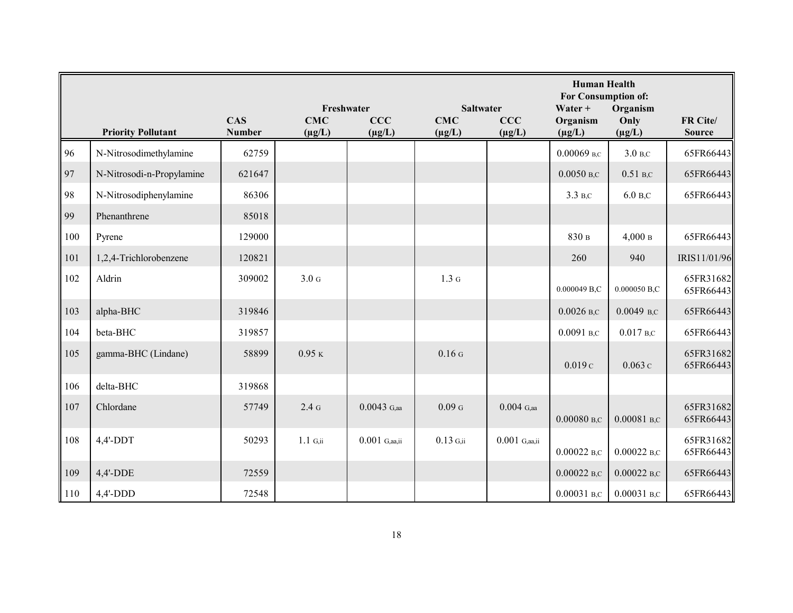|     |                           |                             | Freshwater                | <b>Saltwater</b>   | <b>Human Health</b><br>For Consumption of:<br>Organism<br>$Water +$ |                    |                         |                     |                           |
|-----|---------------------------|-----------------------------|---------------------------|--------------------|---------------------------------------------------------------------|--------------------|-------------------------|---------------------|---------------------------|
|     | <b>Priority Pollutant</b> | <b>CAS</b><br><b>Number</b> | <b>CMC</b><br>$(\mu g/L)$ | CCC<br>$(\mu g/L)$ | <b>CMC</b><br>$(\mu g/L)$                                           | CCC<br>$(\mu g/L)$ | Organism<br>$(\mu g/L)$ | Only<br>$(\mu g/L)$ | FR Cite/<br><b>Source</b> |
| 96  | N-Nitrosodimethylamine    | 62759                       |                           |                    |                                                                     |                    | $0.00069$ B,C           | 3.0 B,C             | 65FR66443                 |
| 97  | N-Nitrosodi-n-Propylamine | 621647                      |                           |                    |                                                                     |                    | $0.0050$ B,C            | $0.51$ B,C          | 65FR66443                 |
| 98  | N-Nitrosodiphenylamine    | 86306                       |                           |                    |                                                                     |                    | 3.3 B,C                 | $6.0 B$ ,C          | 65FR66443                 |
| 99  | Phenanthrene              | 85018                       |                           |                    |                                                                     |                    |                         |                     |                           |
| 100 | Pyrene                    | 129000                      |                           |                    |                                                                     |                    | 830 в                   | 4,000B              | 65FR66443                 |
| 101 | 1,2,4-Trichlorobenzene    | 120821                      |                           |                    |                                                                     |                    | 260                     | 940                 | IRIS11/01/96              |
| 102 | Aldrin                    | 309002                      | 3.0 <sub>G</sub>          |                    | 1.3 <sub>G</sub>                                                    |                    | 0.000049 B,C            | 0.000050 B,C        | 65FR31682<br>65FR66443    |
| 103 | alpha-BHC                 | 319846                      |                           |                    |                                                                     |                    | $0.0026$ B,C            | $0.0049$ B,C        | 65FR66443                 |
| 104 | beta-BHC                  | 319857                      |                           |                    |                                                                     |                    | $0.0091$ B,C            | $0.017$ B,C         | 65FR66443                 |
| 105 | gamma-BHC (Lindane)       | 58899                       | $0.95$ K                  |                    | 0.16 <sub>G</sub>                                                   |                    | 0.019c                  | 0.063c              | 65FR31682<br>65FR66443    |
| 106 | delta-BHC                 | 319868                      |                           |                    |                                                                     |                    |                         |                     |                           |
| 107 | Chlordane                 | 57749                       | 2.4 <sub>G</sub>          | $0.0043$ G,aa      | 0.09 <sub>G</sub>                                                   | $0.004$ G,aa       | $0.00080$ B,C           | $0.00081$ B,C       | 65FR31682<br>65FR66443    |
| 108 | $4,4'$ -DDT               | 50293                       | $1.1\,$ G,ii              | $0.001$ G,aa,ii    | $0.13$ G,ii                                                         | $0.001$ G,aa,ii    | $0.00022$ B,C           | $0.00022$ B,C       | 65FR31682<br>65FR66443    |
| 109 | $4,4'$ -DDE               | 72559                       |                           |                    |                                                                     |                    | $0.00022$ B,C           | $0.00022$ B,C       | 65FR66443                 |
| 110 | $4,4'-DDD$                | 72548                       |                           |                    |                                                                     |                    | $0.00031$ B,C           | $0.00031$ B,C       | 65FR66443                 |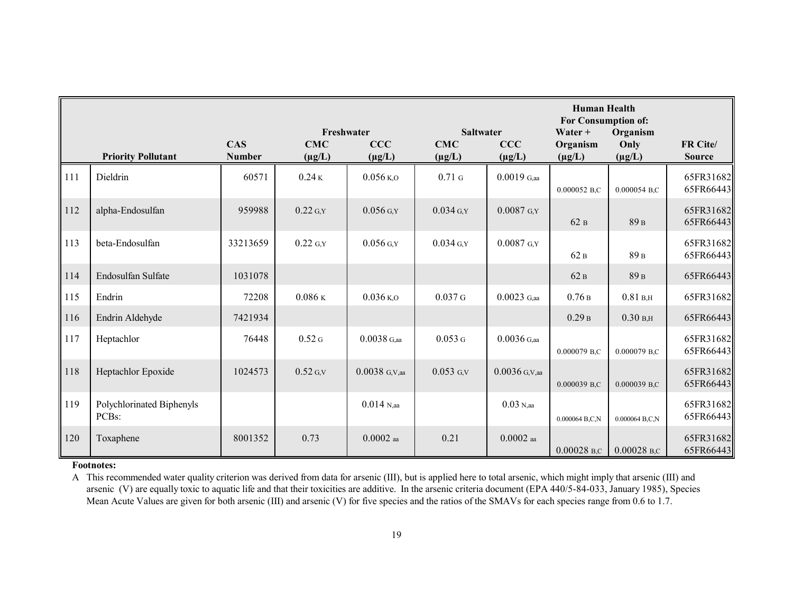|     |                                                 |                             |                                         |                           |                                               |                    | <b>Human Health</b><br>For Consumption of: |                                 |                           |  |
|-----|-------------------------------------------------|-----------------------------|-----------------------------------------|---------------------------|-----------------------------------------------|--------------------|--------------------------------------------|---------------------------------|---------------------------|--|
|     | <b>Priority Pollutant</b>                       | <b>CAS</b><br><b>Number</b> | Freshwater<br><b>CMC</b><br>$(\mu g/L)$ | <b>CCC</b><br>$(\mu g/L)$ | <b>Saltwater</b><br><b>CMC</b><br>$(\mu g/L)$ | CCC<br>$(\mu g/L)$ | Water $+$<br>Organism<br>$(\mu g/L)$       | Organism<br>Only<br>$(\mu g/L)$ | FR Cite/<br><b>Source</b> |  |
| 111 | Dieldrin                                        | 60571                       | 0.24K                                   | $0.056$ K,O               | $0.71$ G                                      | $0.0019$ G,aa      | 0.000052 B,C                               | 0.000054 B.C                    | 65FR31682<br>65FR66443    |  |
| 112 | alpha-Endosulfan                                | 959988                      | $0.22$ G,Y                              | $0.056$ G,Y               | $0.034$ G,Y                                   | $0.0087$ G,Y       | 62B                                        | 89 <sub>B</sub>                 | 65FR31682<br>65FR66443    |  |
| 113 | beta-Endosulfan                                 | 33213659                    | $0.22$ G,Y                              | $0.056$ G.Y               | $0.034$ G,Y                                   | $0.0087$ G.Y       | 62B                                        | 89 <sub>B</sub>                 | 65FR31682<br>65FR66443    |  |
| 114 | Endosulfan Sulfate                              | 1031078                     |                                         |                           |                                               |                    | 62B                                        | 89 <sub>B</sub>                 | 65FR66443                 |  |
| 115 | Endrin                                          | 72208                       | $0.086$ K                               | $0.036$ K,O               | 0.037G                                        | $0.0023$ G,aa      | 0.76B                                      | 0.81 B, H                       | 65FR31682                 |  |
| 116 | Endrin Aldehyde                                 | 7421934                     |                                         |                           |                                               |                    | 0.29B                                      | 0.30 B, H                       | 65FR66443                 |  |
| 117 | Heptachlor                                      | 76448                       | 0.52 <sub>G</sub>                       | $0.0038$ G,aa             | 0.053G                                        | $0.0036$ G,aa      | 0.000079 B,C                               | 0.000079 B.C                    | 65FR31682<br>65FR66443    |  |
| 118 | Heptachlor Epoxide                              | 1024573                     | $0.52$ G, V                             | $0.0038$ G,V,aa           | $0.053$ G,V                                   | $0.0036$ G,V,aa    | 0.000039 B.C                               | 0.000039 B.C                    | 65FR31682<br>65FR66443    |  |
| 119 | Polychlorinated Biphenyls<br>PCB <sub>s</sub> : |                             |                                         | $0.014$ N,aa              |                                               | $0.03$ N,aa        | 0.000064 B,C,N                             | 0.000064 B,C,N                  | 65FR31682<br>65FR66443    |  |
| 120 | Toxaphene                                       | 8001352                     | 0.73                                    | $0.0002$ aa               | 0.21                                          | $0.0002$ aa        | $0.00028$ B,C                              | $0.00028$ B,C                   | 65FR31682<br>65FR66443    |  |

#### **Footnotes:**

A This recommended water quality criterion was derived from data for arsenic (III), but is applied here to total arsenic, which might imply that arsenic (III) and arsenic (V) are equally toxic to aquatic life and that their toxicities are additive. In the arsenic criteria document (EPA 440/5-84-033, January 1985), Species Mean Acute Values are given for both arsenic (III) and arsenic (V) for five species and the ratios of the SMAVs for each species range from 0.6 to 1.7.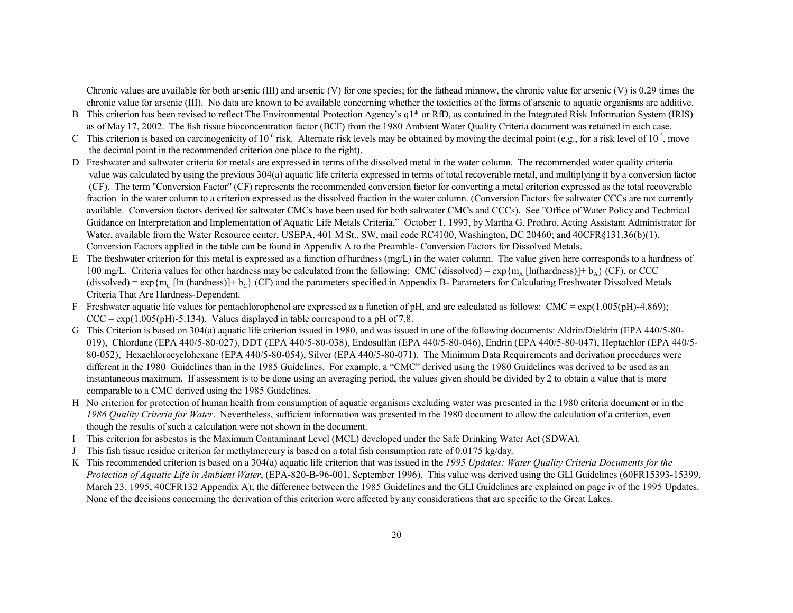Chronic values are available for both arsenic (III) and arsenic (V) for one species; for the fathead minnow, the chronic value for arsenic (V) is 0.29 times the chronic value for arsenic (III). No data are known to be available concerning whether the toxicities of the forms of arsenic to aquatic organisms are additive.

- B This criterion has been revised to reflect The Environmental Protection Agency's q1\* or RfD, as contained in the Integrated Risk Information System (IRIS) as of May 17, 2002. The fish tissue bioconcentration factor (BCF) from the 1980 Ambient Water Quality Criteria document was retained in each case.
- C This criterion is based on carcinogenicity of  $10^{-6}$  risk. Alternate risk levels may be obtained by moving the decimal point (e.g., for a risk level of  $10^{-5}$ , move the decimal point in the recommended criterion one place to the right).
- D Freshwater and saltwater criteria for metals are expressed in terms of the dissolved metal in the water column. The recommended water quality criteria value was calculated by using the previous 304(a) aquatic life criteria expressed in terms of total recoverable metal, and multiplying it by a conversion factor (CF). The term "Conversion Factor" (CF) represents the recommended conversion factor for converting a metal criterion expressed as the total recoverable fraction in the water column to a criterion expressed as the dissolved fraction in the water column. (Conversion Factors for saltwater CCCs are not currently available. Conversion factors derived for saltwater CMCs have been used for both saltwater CMCs and CCCs). See "Office of Water Policy and Technical Guidance on Interpretation and Implementation of Aquatic Life Metals Criteria," October 1, 1993, by Martha G. Prothro, Acting Assistant Administrator for Water, available from the Water Resource center, USEPA, 401 M St., SW, mail code RC4100, Washington, DC 20460; and 40CFR§131.36(b)(1). Conversion Factors applied in the table can be found in Appendix A to the Preamble- Conversion Factors for Dissolved Metals.
- E The freshwater criterion for this metal is expressed as a function of hardness  $(mg/L)$  in the water column. The value given here corresponds to a hardness of 100 mg/L. Criteria values for other hardness may be calculated from the following: CMC (dissolved) =  $\exp{\{m_A [\ln(hardness)] + b_A\}}$  (CF), or CCC (dissolved) =  $\exp{\{m_C \ln(\hat{h} \cdot \hat{h} \cdot \hat{h} \cdot \hat{h} \cdot \hat{h} \cdot \hat{h} \cdot \hat{h} \cdot \hat{h} \cdot \hat{h} \cdot \hat{h} \cdot \hat{h} \cdot \hat{h} \cdot \hat{h} \cdot \hat{h} \cdot \hat{h} \cdot \hat{h} \cdot \hat{h} \cdot \hat{h} \cdot \hat{h} \cdot \hat{h}}$  and the parameters specified in Appendix B- Parameters for Criteria That Are Hardness-Dependent.
- F Freshwater aquatic life values for pentachlorophenol are expressed as a function of pH, and are calculated as follows: CMC =  $\exp(1.005\text{ (pH)}-4.869)$ ;  $CCC = exp(1.005(pH) - 5.134)$ . Values displayed in table correspond to a pH of 7.8.
- G This Criterion is based on 304(a) aquatic life criterion issued in 1980, and was issued in one of the following documents: Aldrin/Dieldrin (EPA 440/5-80- 019), Chlordane (EPA 440/5-80-027), DDT (EPA 440/5-80-038), Endosulfan (EPA 440/5-80-046), Endrin (EPA 440/5-80-047), Heptachlor (EPA 440/5- 80-052), Hexachlorocyclohexane (EPA 440/5-80-054), Silver (EPA 440/5-80-071). The Minimum Data Requirements and derivation procedures were different in the 1980 Guidelines than in the 1985 Guidelines. For example, a "CMC" derived using the 1980 Guidelines was derived to be used as an instantaneous maximum. If assessment is to be done using an averaging period, the values given should be divided by 2 to obtain a value that is more comparable to a CMC derived using the 1985 Guidelines.
- H No criterion for protection of human health from consumption of aquatic organisms excluding water was presented in the 1980 criteria document or in the *1986 Quality Criteria for Water*. Nevertheless, sufficient information was presented in the 1980 document to allow the calculation of a criterion, even though the results of such a calculation were not shown in the document.
- I This criterion for asbestos is the Maximum Contaminant Level (MCL) developed under the Safe Drinking Water Act (SDWA).
- JThis fish tissue residue criterion for methylmercury is based on <sup>a</sup> total fish consumption rate of 0.0175 kg/day.
- K This recommended criterion is based on a 304(a) aquatic life criterion that was issued in the *1995 Updates: Water Quality Criteria Documents for the Protection of Aquatic Life in Ambient Water*, (EPA-820-B-96-001, September 1996). This value was derived using the GLI Guidelines (60FR15393-15399, March 23, 1995; 40CFR132 Appendix A); the difference between the 1985 Guidelines and the GLI Guidelines are explained on page iv of the 1995 Updates. None of the decisions concerning the derivation of this criterion were affected by any considerations that are specific to the Great Lakes.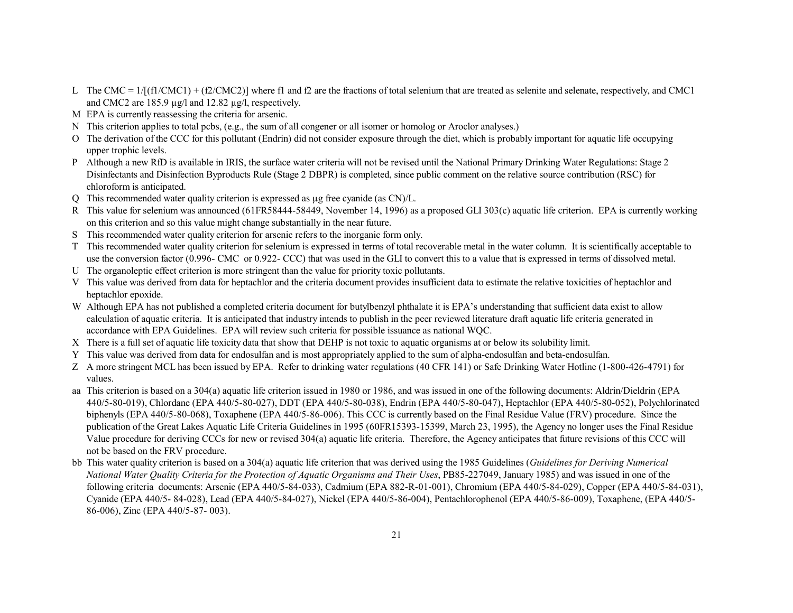- L The CMC =  $1/[(f1/CMC1) + (f2/CMC2)]$  where f1 and f2 are the fractions of total selenium that are treated as selenite and selenate, respectively, and CMC1 and CMC2 are 185.9  $\mu$ g/l and 12.82  $\mu$ g/l, respectively.
- M EPA is currently reassessing the criteria for arsenic.
- N This criterion applies to total pcbs, (e.g., the sum of all congener or all isomer or homolog or Aroclor analyses.)
- O The derivation of the CCC for this pollutant (Endrin) did not consider exposure through the diet, which is probably important for aquatic life occupying upper trophic levels.
- P Although a new RfD is available in IRIS, the surface water criteria will not be revised until the National Primary Drinking Water Regulations: Stage 2 Disinfectants and Disinfection Byproducts Rule (Stage 2 DBPR) is completed, since public comment on the relative source contribution (RSC) for chloroform is anticipated.
- Q This recommended water quality criterion is expressed as µg free cyanide (as CN)/L.
- R This value for selenium was announced (61FR58444-58449, November 14, 1996) as a proposed GLI 303(c) aquatic life criterion. EPA is currently working on this criterion and so this value might change substantially in the near future.
- S This recommended water quality criterion for arsenic refers to the inorganic form only.
- T This recommended water quality criterion for selenium is expressed in terms of total recoverable metal in the water column. It is scientifically acceptable to use the conversion factor (0.996- CMC or 0.922- CCC) that was used in the GLI to convert this to a value that is expressed in terms of dissolved metal.
- U The organoleptic effect criterion is more stringent than the value for priority toxic pollutants.
- V This value was derived from data for heptachlor and the criteria document provides insufficient data to estimate the relative toxicities of heptachlor and heptachlor epoxide.
- W Although EPA has not published a completed criteria document for butylbenzyl phthalate it is EPA's understanding that sufficient data exist to allow calculation of aquatic criteria. It is anticipated that industry intends to publish in the peer reviewed literature draft aquatic life criteria generated in accordance with EPA Guidelines. EPA will review such criteria for possible issuance as national WQC.
- X There is a full set of aquatic life toxicity data that show that DEHP is not toxic to aquatic organisms at or below its solubility limit.
- Y This value was derived from data for endosulfan and is most appropriately applied to the sum of alpha-endosulfan and beta-endosulfan.
- Z A more stringent MCL has been issued by EPA. Refer to drinking water regulations (40 CFR 141) or Safe Drinking Water Hotline (1-800-426-4791) for values.
- aa This criterion is based on a 304(a) aquatic life criterion issued in 1980 or 1986, and was issued in one of the following documents: Aldrin/Dieldrin (EPA 440/5-80-019), Chlordane (EPA 440/5-80-027), DDT (EPA 440/5-80-038), Endrin (EPA 440/5-80-047), Heptachlor (EPA 440/5-80-052), Polychlorinated biphenyls (EPA 440/5-80-068), Toxaphene (EPA 440/5-86-006). This CCC is currently based on the Final Residue Value (FRV) procedure. Since the publication of the Great Lakes Aquatic Life Criteria Guidelines in 1995 (60FR15393-15399, March 23, 1995), the Agency no longer uses the Final Residue Value procedure for deriving CCCs for new or revised 304(a) aquatic life criteria. Therefore, the Agency anticipates that future revisions of this CCC will not be based on the FRV procedure.
- bb This water quality criterion is based on a 304(a) aquatic life criterion that was derived using the 1985 Guidelines (*Guidelines for Deriving Numerical National Water Quality Criteria for the Protection of Aquatic Organisms and Their Uses*, PB85-227049, January 1985) and was issued in one of the following criteria documents: Arsenic (EPA 440/5-84-033), Cadmium (EPA 882-R-01-001), Chromium (EPA 440/5-84-029), Copper (EPA 440/5-84-031), Cyanide (EPA 440/5- 84-028), Lead (EPA 440/5-84-027), Nickel (EPA 440/5-86-004), Pentachlorophenol (EPA 440/5-86-009), Toxaphene, (EPA 440/5- 86-006), Zinc (EPA 440/5-87- 003).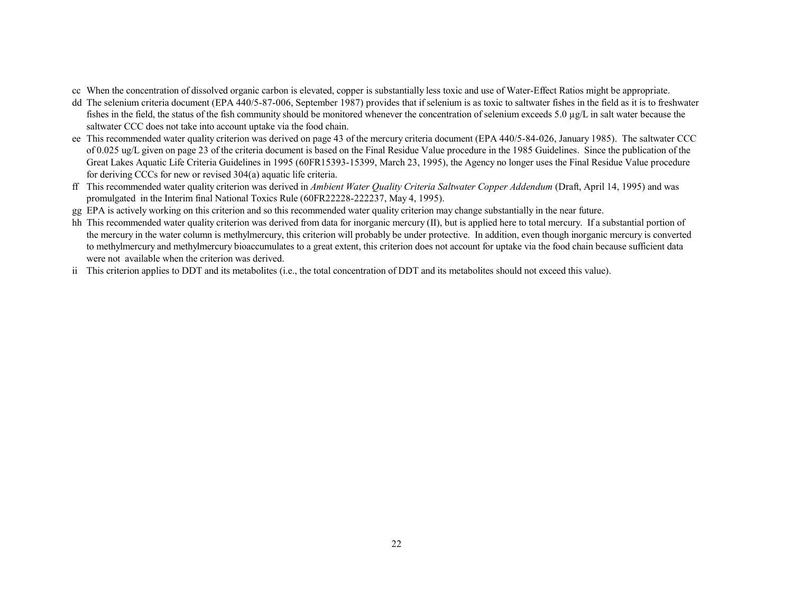- cc When the concentration of dissolved organic carbon is elevated, copper is substantially less toxic and use of Water-Effect Ratios might be appropriate.
- dd The selenium criteria document (EPA 440/5-87-006, September 1987) provides that if selenium is as toxic to saltwater fishes in the field as it is to freshwater fishes in the field, the status of the fish community should be monitored whenever the concentration of selenium exceeds 5.0 µg/L in salt water because the saltwater CCC does not take into account uptake via the food chain.
- ee This recommended water quality criterion was derived on page 43 of the mercury criteria document (EPA 440/5-84-026, January 1985). The saltwater CCC of 0.025 ug/L given on page 23 of the criteria document is based on the Final Residue Value procedure in the 1985 Guidelines. Since the publication of the Great Lakes Aquatic Life Criteria Guidelines in 1995 (60FR15393-15399, March 23, 1995), the Agency no longer uses the Final Residue Value procedure for deriving CCCs for new or revised 304(a) aquatic life criteria.
- ff This recommended water quality criterion was derived in *Ambient Water Quality Criteria Saltwater Copper Addendum* (Draft, April 14, 1995) and was promulgated in the Interim final National Toxics Rule (60FR22228-222237, May 4, 1995).
- gg EPA is actively working on this criterion and so this recommended water quality criterion may change substantially in the near future.
- hh This recommended water quality criterion was derived from data for inorganic mercury (II), but is applied here to total mercury. If a substantial portion of the mercury in the water column is methylmercury, this criterion will probably be under protective. In addition, even though inorganic mercury is converted to methylmercury and methylmercury bioaccumulates to a great extent, this criterion does not account for uptake via the food chain because sufficient data were not available when the criterion was derived.
- ii This criterion applies to DDT and its metabolites (i.e., the total concentration of DDT and its metabolites should not exceed this value).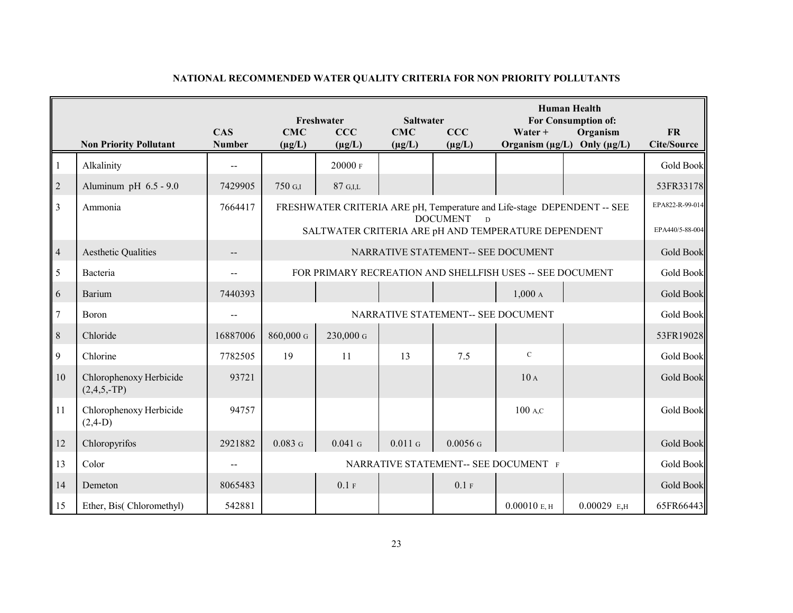|                  | <b>Non Priority Pollutant</b>            | <b>CAS</b><br><b>Number</b> | <b>CMC</b><br>$(\mu g/L)$ | Freshwater<br>CCC<br>$(\mu g/L)$ | <b>Saltwater</b><br><b>CMC</b><br>$(\mu g/L)$ | CCC<br>$(\mu g/L)$                 | Water +                                                   | <b>Human Health</b><br><b>For Consumption of:</b><br>Organism<br>Organism $(\mu g/L)$ Only $(\mu g/L)$ | <b>FR</b><br><b>Cite/Source</b>    |
|------------------|------------------------------------------|-----------------------------|---------------------------|----------------------------------|-----------------------------------------------|------------------------------------|-----------------------------------------------------------|--------------------------------------------------------------------------------------------------------|------------------------------------|
| $\mathbf{1}$     | Alkalinity                               |                             |                           | 20000 F                          |                                               |                                    |                                                           |                                                                                                        | <b>Gold Book</b>                   |
| $\sqrt{2}$       | Aluminum pH $6.5 - 9.0$                  | 7429905                     | 750 G.I                   | 87 G.I.L                         |                                               |                                    |                                                           |                                                                                                        | 53FR33178                          |
| $\overline{3}$   | Ammonia                                  | 7664417                     |                           |                                  |                                               | <b>DOCUMENT</b><br>$\overline{D}$  | SALTWATER CRITERIA ARE pH AND TEMPERATURE DEPENDENT       | FRESHWATER CRITERIA ARE pH, Temperature and Life-stage DEPENDENT -- SEE                                | EPA822-R-99-014<br>EPA440/5-88-004 |
| $\overline{a}$   | <b>Aesthetic Qualities</b>               |                             |                           |                                  |                                               | NARRATIVE STATEMENT-- SEE DOCUMENT |                                                           |                                                                                                        | Gold Book                          |
| 5                | Bacteria                                 |                             |                           |                                  |                                               |                                    | FOR PRIMARY RECREATION AND SHELLFISH USES -- SEE DOCUMENT |                                                                                                        | Gold Book                          |
| 6                | Barium                                   | 7440393                     |                           |                                  |                                               |                                    | 1,000A                                                    |                                                                                                        | <b>Gold Book</b>                   |
| $\boldsymbol{7}$ | Boron                                    |                             |                           |                                  |                                               | NARRATIVE STATEMENT-- SEE DOCUMENT |                                                           |                                                                                                        | <b>Gold Book</b>                   |
| $8\,$            | Chloride                                 | 16887006                    | $860,000$ G               | 230,000 G                        |                                               |                                    |                                                           |                                                                                                        | 53FR19028                          |
| 9                | Chlorine                                 | 7782505                     | 19                        | 11                               | 13                                            | 7.5                                | $\mathbf C$                                               |                                                                                                        | Gold Book                          |
| 10               | Chlorophenoxy Herbicide<br>$(2,4,5,-TP)$ | 93721                       |                           |                                  |                                               |                                    | 10A                                                       |                                                                                                        | Gold Book                          |
| 11               | Chlorophenoxy Herbicide<br>$(2,4-D)$     | 94757                       |                           |                                  |                                               |                                    | 100 A.C                                                   |                                                                                                        | <b>Gold Book</b>                   |
| 12               | Chloropyrifos                            | 2921882                     | 0.083G                    | $0.041$ G                        | 0.011G                                        | $0.0056$ G                         |                                                           |                                                                                                        | <b>Gold Book</b>                   |
| 13               | Color                                    |                             |                           |                                  |                                               |                                    | NARRATIVE STATEMENT-- SEE DOCUMENT F                      |                                                                                                        | Gold Book                          |
| 14               | Demeton                                  | 8065483                     |                           | 0.1 F                            |                                               | 0.1 F                              |                                                           |                                                                                                        | <b>Gold Book</b>                   |
| 15               | Ether, Bis(Chloromethyl)                 | 542881                      |                           |                                  |                                               |                                    | 0.00010 E, H                                              | $0.00029$ E,H                                                                                          | 65FR66443                          |

## **NATIONAL RECOMMENDED WATER QUALITY CRITERIA FOR NON PRIORITY POLLUTANTS**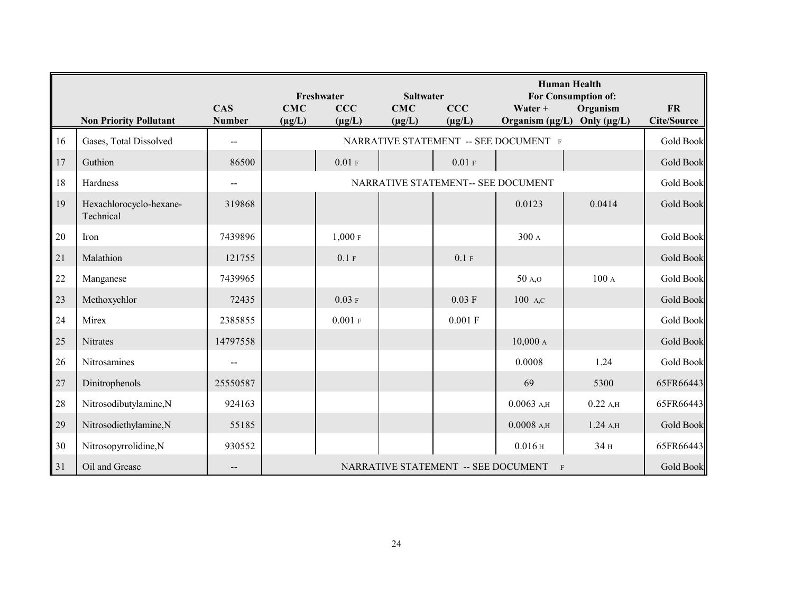|    | <b>Non Priority Pollutant</b>        | <b>CAS</b><br><b>Number</b> | <b>CMC</b><br>$(\mu g/L)$ | Freshwater<br>CCC<br>$(\mu g/L)$   | <b>Saltwater</b><br><b>CMC</b><br>$(\mu g/L)$ | CCC<br>$(\mu g/L)$                  | Water +                               | <b>Human Health</b><br>For Consumption of:<br>Organism<br>Organism ( $\mu$ g/L) Only ( $\mu$ g/L) | <b>FR</b><br><b>Cite/Source</b> |  |
|----|--------------------------------------|-----------------------------|---------------------------|------------------------------------|-----------------------------------------------|-------------------------------------|---------------------------------------|---------------------------------------------------------------------------------------------------|---------------------------------|--|
| 16 | Gases, Total Dissolved               | $-$                         |                           |                                    |                                               |                                     | NARRATIVE STATEMENT -- SEE DOCUMENT F |                                                                                                   | Gold Book                       |  |
| 17 | Guthion                              | 86500                       |                           | 0.01 F                             |                                               | 0.01 F                              |                                       |                                                                                                   | <b>Gold Book</b>                |  |
| 18 | Hardness                             | $\sim$ $\sim$               |                           | NARRATIVE STATEMENT-- SEE DOCUMENT |                                               |                                     |                                       |                                                                                                   |                                 |  |
| 19 | Hexachlorocyclo-hexane-<br>Technical | 319868                      |                           |                                    |                                               |                                     | 0.0123                                | 0.0414                                                                                            | <b>Gold Book</b>                |  |
| 20 | Iron                                 | 7439896                     |                           | 1,000F                             |                                               |                                     | 300 A                                 |                                                                                                   | Gold Book                       |  |
| 21 | Malathion                            | 121755                      |                           | 0.1 F                              |                                               | 0.1 F                               |                                       |                                                                                                   | Gold Book                       |  |
| 22 | Manganese                            | 7439965                     |                           |                                    |                                               |                                     | 50 A,O                                | 100A                                                                                              | Gold Book                       |  |
| 23 | Methoxychlor                         | 72435                       |                           | $0.03$ F                           |                                               | $0.03$ F                            | 100 A,C                               |                                                                                                   | Gold Book                       |  |
| 24 | Mirex                                | 2385855                     |                           | $0.001$ F                          |                                               | 0.001 F                             |                                       |                                                                                                   | <b>Gold Book</b>                |  |
| 25 | <b>Nitrates</b>                      | 14797558                    |                           |                                    |                                               |                                     | 10,000A                               |                                                                                                   | <b>Gold Book</b>                |  |
| 26 | Nitrosamines                         |                             |                           |                                    |                                               |                                     | 0.0008                                | 1.24                                                                                              | Gold Book                       |  |
| 27 | Dinitrophenols                       | 25550587                    |                           |                                    |                                               |                                     | 69                                    | 5300                                                                                              | 65FR66443                       |  |
| 28 | Nitrosodibutylamine,N                | 924163                      |                           |                                    |                                               |                                     | $0.0063$ A,H                          | $0.22$ A,H                                                                                        | 65FR66443                       |  |
| 29 | Nitrosodiethylamine,N                | 55185                       |                           |                                    |                                               |                                     | $0.0008$ A,H                          | 1.24A                                                                                             | <b>Gold Book</b>                |  |
| 30 | Nitrosopyrrolidine,N                 | 930552                      |                           |                                    |                                               |                                     | 0.016H                                | 34 H                                                                                              | 65FR66443                       |  |
| 31 | Oil and Grease                       |                             |                           |                                    |                                               | NARRATIVE STATEMENT -- SEE DOCUMENT | $\mathbf{F}$                          |                                                                                                   | <b>Gold Book</b>                |  |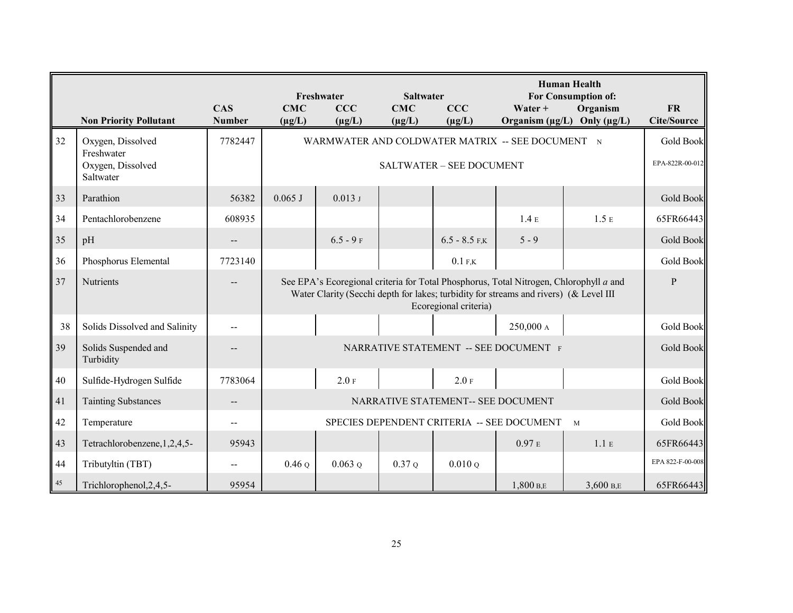|        |                                                                   |                             | <b>Human Health</b><br>For Consumption of:<br><b>Saltwater</b><br>Freshwater |                                                                                                                                                                                                          |                           |                                    |                                                  |                                                   |                                     |  |
|--------|-------------------------------------------------------------------|-----------------------------|------------------------------------------------------------------------------|----------------------------------------------------------------------------------------------------------------------------------------------------------------------------------------------------------|---------------------------|------------------------------------|--------------------------------------------------|---------------------------------------------------|-------------------------------------|--|
|        | <b>Non Priority Pollutant</b>                                     | <b>CAS</b><br><b>Number</b> | <b>CMC</b><br>$(\mu g/L)$                                                    | CCC<br>$(\mu g/L)$                                                                                                                                                                                       | <b>CMC</b><br>$(\mu g/L)$ | CCC<br>$(\mu g/L)$                 | Water +                                          | Organism<br>Organism $(\mu g/L)$ Only $(\mu g/L)$ | <b>FR</b><br><b>Cite/Source</b>     |  |
| 32     | Oxygen, Dissolved<br>Freshwater<br>Oxygen, Dissolved<br>Saltwater | 7782447                     |                                                                              |                                                                                                                                                                                                          |                           | SALTWATER - SEE DOCUMENT           | WARMWATER AND COLDWATER MATRIX -- SEE DOCUMENT N |                                                   | <b>Gold Book</b><br>EPA-822R-00-012 |  |
| 33     | Parathion                                                         | 56382                       | $0.065$ J                                                                    | 0.013J                                                                                                                                                                                                   |                           |                                    |                                                  |                                                   | <b>Gold Book</b>                    |  |
| 34     | Pentachlorobenzene                                                | 608935                      |                                                                              |                                                                                                                                                                                                          |                           |                                    | 1.4E                                             | 1.5E                                              | 65FR66443                           |  |
| 35     | pH                                                                | $\overline{a}$              |                                                                              | $6.5 - 9$ F                                                                                                                                                                                              |                           | $6.5 - 8.5$ F.K                    | $5 - 9$                                          |                                                   | <b>Gold Book</b>                    |  |
| 36     | Phosphorus Elemental                                              | 7723140                     |                                                                              |                                                                                                                                                                                                          |                           | $0.1$ F,K                          |                                                  |                                                   | <b>Gold Book</b>                    |  |
| 37     | Nutrients                                                         |                             |                                                                              | See EPA's Ecoregional criteria for Total Phosphorus, Total Nitrogen, Chlorophyll a and<br>Water Clarity (Secchi depth for lakes; turbidity for streams and rivers) (& Level III<br>Ecoregional criteria) |                           |                                    |                                                  |                                                   |                                     |  |
| 38     | Solids Dissolved and Salinity                                     |                             |                                                                              |                                                                                                                                                                                                          |                           |                                    | 250,000 A                                        |                                                   | Gold Book                           |  |
| 39     | Solids Suspended and<br>Turbidity                                 |                             |                                                                              |                                                                                                                                                                                                          |                           |                                    | NARRATIVE STATEMENT -- SEE DOCUMENT F            |                                                   | <b>Gold Book</b>                    |  |
| $40\,$ | Sulfide-Hydrogen Sulfide                                          | 7783064                     |                                                                              | 2.0 F                                                                                                                                                                                                    |                           | 2.0 F                              |                                                  |                                                   | Gold Book                           |  |
| 41     | <b>Tainting Substances</b>                                        |                             |                                                                              |                                                                                                                                                                                                          |                           | NARRATIVE STATEMENT-- SEE DOCUMENT |                                                  |                                                   | <b>Gold Book</b>                    |  |
| 42     | Temperature                                                       | $-$                         | SPECIES DEPENDENT CRITERIA -- SEE DOCUMENT<br>M                              |                                                                                                                                                                                                          |                           |                                    |                                                  |                                                   |                                     |  |
| 43     | Tetrachlorobenzene, 1, 2, 4, 5-                                   | 95943                       |                                                                              |                                                                                                                                                                                                          |                           |                                    | 0.97E                                            | 1.1 E                                             | 65FR66443                           |  |
| 44     | Tributyltin (TBT)                                                 |                             | $0.46\,\mathrm{o}$                                                           | $0.063$ o                                                                                                                                                                                                | 0.37Q                     | 0.010Q                             |                                                  |                                                   | EPA 822-F-00-008                    |  |
| 45     | Trichlorophenol, 2, 4, 5-                                         | 95954                       |                                                                              |                                                                                                                                                                                                          |                           |                                    | 1,800 B,E                                        | 3,600 B,E                                         | 65FR66443                           |  |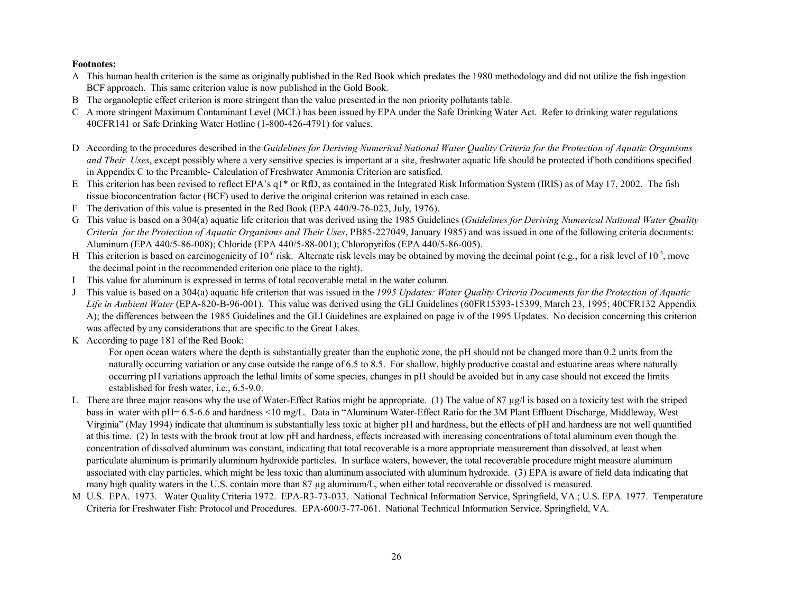**Footnotes:**

- A This human health criterion is the same as originally published in the Red Book which predates the 1980 methodology and did not utilize the fish ingestion BCF approach. This same criterion value is now published in the Gold Book.
- B The organoleptic effect criterion is more stringent than the value presented in the non priority pollutants table.
- C A more stringent Maximum Contaminant Level (MCL) has been issued by EPA under the Safe Drinking Water Act. Refer to drinking water regulations 40CFR141 or Safe Drinking Water Hotline (1-800-426-4791) for values.
- D According to the procedures described in the *Guidelines for Deriving Numerical National Water Quality Criteria for the Protection of Aquatic Organisms and Their Uses*, except possibly where a very sensitive species is important at a site, freshwater aquatic life should be protected if both conditions specified in Appendix C to the Preamble- Calculation of Freshwater Ammonia Criterion are satisfied.
- E This criterion has been revised to reflect EPA's q1\* or RfD, as contained in the Integrated Risk Information System (IRIS) as of May 17, 2002. The fish tissue bioconcentration factor (BCF) used to derive the original criterion was retained in each case.
- F The derivation of this value is presented in the Red Book (EPA 440/9-76-023, July, 1976).
- G This value is based on a 304(a) aquatic life criterion that was derived using the 1985 Guidelines (*Guidelines for Deriving Numerical National Water Quality Criteria for the Protection of Aquatic Organisms and Their Uses*, PB85-227049, January 1985) and was issued in one of the following criteria documents: Aluminum (EPA 440/5-86-008); Chloride (EPA 440/5-88-001); Chloropyrifos (EPA 440/5-86-005).
- H This criterion is based on carcinogenicity of  $10^{-6}$  risk. Alternate risk levels may be obtained by moving the decimal point (e.g., for a risk level of  $10^{-5}$ , move the decimal point in the recommended criterion one place to the right).
- I This value for aluminum is expressed in terms of total recoverable metal in the water column.
- J This value is based on a 304(a) aquatic life criterion that was issued in the *1995 Updates: Water Quality Criteria Documents for the Protection of Aquatic Life in Ambient Water* (EPA-820-B-96-001). This value was derived using the GLI Guidelines (60FR15393-15399, March 23, 1995; 40CFR132 Appendix A); the differences between the 1985 Guidelines and the GLI Guidelines are explained on page iv of the 1995 Updates. No decision concerning this criterion was affected by any considerations that are specific to the Great Lakes.
- K According to page 181 of the Red Book:

For open ocean waters where the depth is substantially greater than the euphotic zone, the pH should not be changed more than 0.2 units from the naturally occurring variation or any case outside the range of 6.5 to 8.5. For shallow, highly productive coastal and estuarine areas where naturally occurring pH variations approach the lethal limits of some species, changes in pH should be avoided but in any case should not exceed the limits established for fresh water, i.e., 6.5-9.0.

- L There are three major reasons why the use of Water-Effect Ratios might be appropriate. (1) The value of 87  $\mu$ g/l is based on a toxicity test with the striped bass in water with pH= 6.5-6.6 and hardness <10 mg/L. Data in "Aluminum Water-Effect Ratio for the 3M Plant Effluent Discharge, Middleway, West Virginia" (May 1994) indicate that aluminum is substantially less toxic at higher pH and hardness, but the effects of pH and hardness are not well quantified at this time. (2) In tests with the brook trout at low pH and hardness, effects increased with increasing concentrations of total aluminum even though the concentration of dissolved aluminum was constant, indicating that total recoverable is a more appropriate measurement than dissolved, at least when particulate aluminum is primarily aluminum hydroxide particles. In surface waters, however, the total recoverable procedure might measure aluminum associated with clay particles, which might be less toxic than aluminum associated with aluminum hydroxide. (3) EPA is aware of field data indicating that many high quality waters in the U.S. contain more than 87 µg aluminum/L, when either total recoverable or dissolved is measured.
- M U.S. EPA. 1973. Water Quality Criteria 1972. EPA-R3-73-033. National Technical Information Service, Springfield, VA.; U.S. EPA. 1977. Temperature Criteria for Freshwater Fish: Protocol and Procedures. EPA-600/3-77-061. National Technical Information Service, Springfield, VA.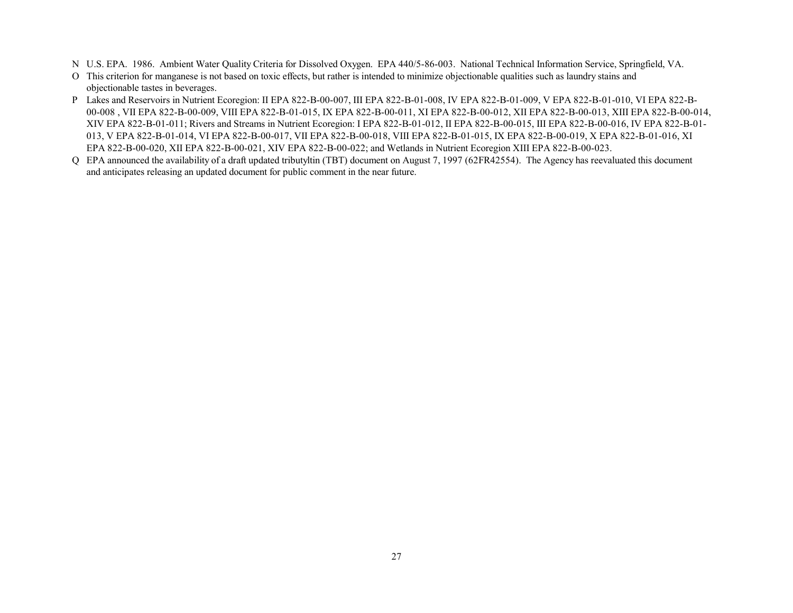- N U.S. EPA. 1986. Ambient Water Quality Criteria for Dissolved Oxygen. EPA 440/5-86-003. National Technical Information Service, Springfield, VA.
- O This criterion for manganese is not based on toxic effects, but rather is intended to minimize objectionable qualities such as laundry stains and objectionable tastes in beverages.
- P Lakes and Reservoirs in Nutrient Ecoregion: II EPA 822-B-00-007, III EPA 822-B-01-008, IV EPA 822-B-01-009, V EPA 822-B-01-010, VI EPA 822-B-00-008 , VII EPA 822-B-00-009, VIII EPA 822-B-01-015, IX EPA 822-B-00-011, XI EPA 822-B-00-012, XII EPA 822-B-00-013, XIII EPA 822-B-00-014, XIV EPA 822-B-01-011; Rivers and Streams in Nutrient Ecoregion: I EPA 822-B-01-012, II EPA 822-B-00-015, III EPA 822-B-00-016, IV EPA 822-B-01- 013, V EPA 822-B-01-014, VI EPA 822-B-00-017, VII EPA 822-B-00-018, VIII EPA 822-B-01-015, IX EPA 822-B-00-019, X EPA 822-B-01-016, XI EPA 822-B-00-020, XII EPA 822-B-00-021, XIV EPA 822-B-00-022; and Wetlands in Nutrient Ecoregion XIII EPA 822-B-00-023.
- Q EPA announced the availability of a draft updated tributyltin (TBT) document on August 7, 1997 (62FR42554). The Agency has reevaluated this document and anticipates releasing an updated document for public comment in the near future.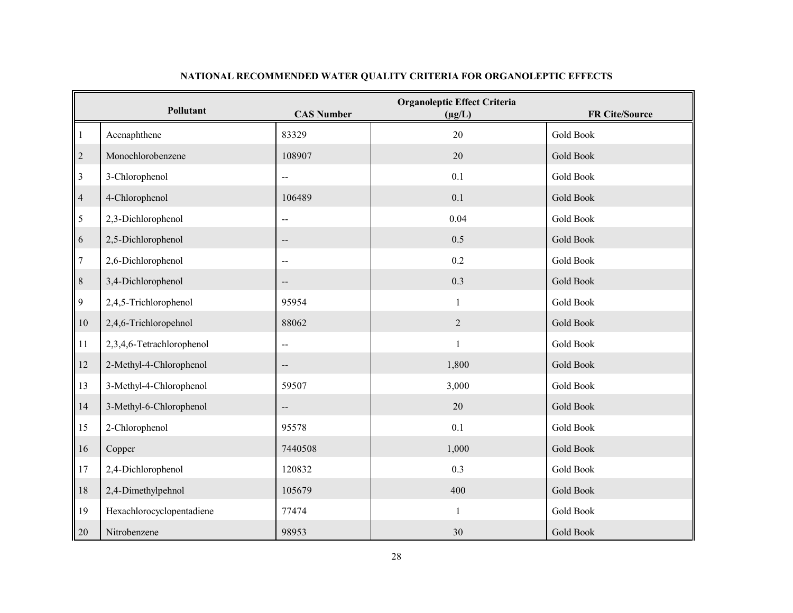|                | Pollutant                 | <b>CAS Number</b>        | <b>Organoleptic Effect Criteria</b><br>$(\mu g/L)$ | FR Cite/Source   |
|----------------|---------------------------|--------------------------|----------------------------------------------------|------------------|
| $\mathbf{1}$   | Acenaphthene              | 83329                    | 20                                                 | <b>Gold Book</b> |
| $\overline{c}$ | Monochlorobenzene         | 108907                   | 20                                                 | Gold Book        |
| $\mathfrak{Z}$ | 3-Chlorophenol            |                          | 0.1                                                | <b>Gold Book</b> |
| $\overline{4}$ | 4-Chlorophenol            | 106489                   | 0.1                                                | Gold Book        |
| 5              | 2,3-Dichlorophenol        | $\overline{a}$           | 0.04                                               | Gold Book        |
| 6              | 2,5-Dichlorophenol        |                          | 0.5                                                | <b>Gold Book</b> |
| $\overline{7}$ | 2,6-Dichlorophenol        |                          | 0.2                                                | <b>Gold Book</b> |
| $8\,$          | 3,4-Dichlorophenol        | $-\!$ –                  | 0.3                                                | <b>Gold Book</b> |
| $\mathbf{9}$   | 2,4,5-Trichlorophenol     | 95954                    | 1                                                  | <b>Gold Book</b> |
| 10             | 2,4,6-Trichloropehnol     | 88062                    | $\overline{2}$                                     | <b>Gold Book</b> |
| 11             | 2,3,4,6-Tetrachlorophenol | $\overline{\phantom{a}}$ |                                                    | Gold Book        |
| 12             | 2-Methyl-4-Chlorophenol   | $\overline{\phantom{a}}$ | 1,800                                              | Gold Book        |
| 13             | 3-Methyl-4-Chlorophenol   | 59507                    | 3,000                                              | Gold Book        |
| 14             | 3-Methyl-6-Chlorophenol   | $\overline{\phantom{a}}$ | 20                                                 | Gold Book        |
| 15             | 2-Chlorophenol            | 95578                    | 0.1                                                | <b>Gold Book</b> |
| 16             | Copper                    | 7440508                  | 1,000                                              | Gold Book        |
| 17             | 2,4-Dichlorophenol        | 120832                   | 0.3                                                | <b>Gold Book</b> |
| 18             | 2,4-Dimethylpehnol        | 105679                   | 400                                                | Gold Book        |
| 19             | Hexachlorocyclopentadiene | 77474                    | $\mathbf{1}$                                       | <b>Gold Book</b> |
| 20             | Nitrobenzene              | 98953                    | 30                                                 | Gold Book        |

## **NATIONAL RECOMMENDED WATER QUALITY CRITERIA FOR ORGANOLEPTIC EFFECTS**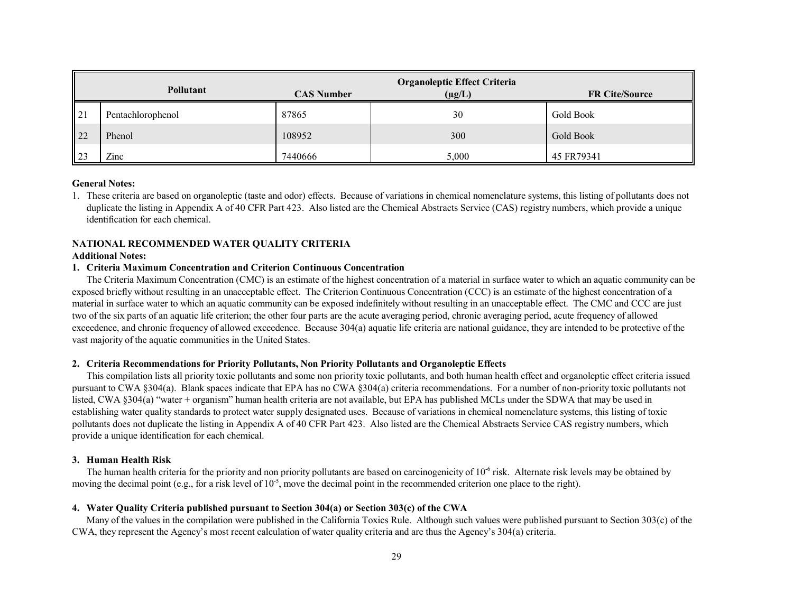|                 |                   |                   | <b>Organoleptic Effect Criteria</b> |                       |
|-----------------|-------------------|-------------------|-------------------------------------|-----------------------|
|                 | Pollutant         | <b>CAS Number</b> | $(\mu g/L)$                         | <b>FR Cite/Source</b> |
| 21              | Pentachlorophenol | 87865             | 30                                  | Gold Book             |
| 22              | Phenol            | 108952            | 300                                 | Gold Book             |
| $\overline{23}$ | Zinc              | 7440666           | 5.000                               | 45 FR79341            |

#### **General Notes:**

1. These criteria are based on organoleptic (taste and odor) effects. Because of variations in chemical nomenclature systems, this listing of pollutants does not duplicate the listing in Appendix A of 40 CFR Part 423. Also listed are the Chemical Abstracts Service (CAS) registry numbers, which provide a unique identification for each chemical.

#### **NATIONAL RECOMMENDED WATER QUALITY CRITERIA**

#### **Additional Notes:**

#### **1. Criteria Maximum Concentration and Criterion Continuous Concentration**

 The Criteria Maximum Concentration (CMC) is an estimate of the highest concentration of a material in surface water to which an aquatic community can be exposed briefly without resulting in an unacceptable effect. The Criterion Continuous Concentration (CCC) is an estimate of the highest concentration of a material in surface water to which an aquatic community can be exposed indefinitely without resulting in an unacceptable effect. The CMC and CCC are just two of the six parts of an aquatic life criterion; the other four parts are the acute averaging period, chronic averaging period, acute frequency of allowed exceedence, and chronic frequency of allowed exceedence. Because 304(a) aquatic life criteria are national guidance, they are intended to be protective of the vast majority of the aquatic communities in the United States.

#### **2. Criteria Recommendations for Priority Pollutants, Non Priority Pollutants and Organoleptic Effects**

This compilation lists all priority toxic pollutants and some non priority toxic pollutants, and both human health effect and organoleptic effect criteria issued pursuant to CWA §304(a). Blank spaces indicate that EPA has no CWA §304(a) criteria recommendations. For a number of non-priority toxic pollutants not listed, CWA §304(a) "water + organism" human health criteria are not available, but EPA has published MCLs under the SDWA that may be used in establishing water quality standards to protect water supply designated uses. Because of variations in chemical nomenclature systems, this listing of toxic pollutants does not duplicate the listing in Appendix A of 40 CFR Part 423. Also listed are the Chemical Abstracts Service CAS registry numbers, which provide a unique identification for each chemical.

#### **3. Human Health Risk**

The human health criteria for the priority and non priority pollutants are based on carcinogenicity of  $10<sup>-6</sup>$  risk. Alternate risk levels may be obtained by moving the decimal point (e.g., for a risk level of  $10^{-5}$ , move the decimal point in the recommended criterion one place to the right).

#### **4. Water Quality Criteria published pursuant to Section 304(a) or Section 303(c) of the CWA**

Many of the values in the compilation were published in the California Toxics Rule. Although such values were published pursuant to Section 303(c) of the CWA, they represent the Agency's most recent calculation of water quality criteria and are thus the Agency's 304(a) criteria.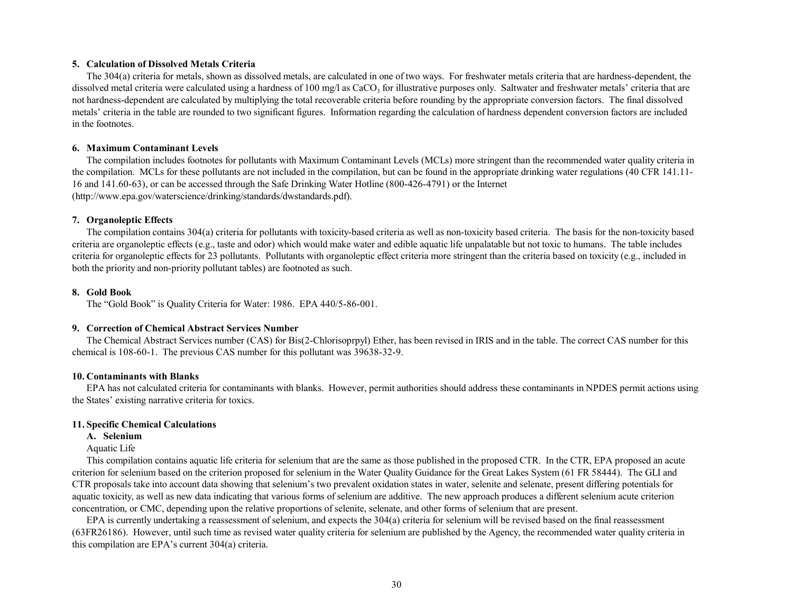## **5. Calculation of Dissolved Metals Criteria**

The 304(a) criteria for metals, shown as dissolved metals, are calculated in one of two ways. For freshwater metals criteria that are hardness-dependent, the dissolved metal criteria were calculated using a hardness of 100 mg/l as  $CaCO<sub>3</sub>$  for illustrative purposes only. Saltwater and freshwater metals' criteria that are not hardness-dependent are calculated by multiplying the total recoverable criteria before rounding by the appropriate conversion factors. The final dissolved metals' criteria in the table are rounded to two significant figures. Information regarding the calculation of hardness dependent conversion factors are included in the footnotes.

## **6. Maximum Contaminant Levels**

The compilation includes footnotes for pollutants with Maximum Contaminant Levels (MCLs) more stringent than the recommended water quality criteria in the compilation. MCLs for these pollutants are not included in the compilation, but can be found in the appropriate drinking water regulations (40 CFR 141.11- 16 and 141.60-63), or can be accessed through the Safe Drinking Water Hotline (800-426-4791) or the Internet (http://www.epa.gov/waterscience/drinking/standards/dwstandards.pdf).

## **7. Organoleptic Effects**

The compilation contains 304(a) criteria for pollutants with toxicity-based criteria as well as non-toxicity based criteria. The basis for the non-toxicity based criteria are organoleptic effects (e.g., taste and odor) which would make water and edible aquatic life unpalatable but not toxic to humans. The table includes criteria for organoleptic effects for 23 pollutants. Pollutants with organoleptic effect criteria more stringent than the criteria based on toxicity (e.g., included in both the priority and non-priority pollutant tables) are footnoted as such.

## **8. Gold Book**

The "Gold Book" is Quality Criteria for Water: 1986. EPA 440/5-86-001.

## **9. Correction of Chemical Abstract Services Number**

The Chemical Abstract Services number (CAS) for Bis(2-Chlorisoprpyl) Ether, has been revised in IRIS and in the table. The correct CAS number for this chemical is 108-60-1. The previous CAS number for this pollutant was 39638-32-9.

## **10. Contaminants with Blanks**

EPA has not calculated criteria for contaminants with blanks. However, permit authorities should address these contaminants in NPDES permit actions using the States' existing narrative criteria for toxics.

## **11. Specific Chemical Calculations**

## **A. Selenium**

## Aquatic Life

 This compilation contains aquatic life criteria for selenium that are the same as those published in the proposed CTR. In the CTR, EPA proposed an acute criterion for selenium based on the criterion proposed for selenium in the Water Quality Guidance for the Great Lakes System (61 FR 58444). The GLI and CTR proposals take into account data showing that selenium's two prevalent oxidation states in water, selenite and selenate, present differing potentials for aquatic toxicity, as well as new data indicating that various forms of selenium are additive. The new approach produces a different selenium acute criterion concentration, or CMC, depending upon the relative proportions of selenite, selenate, and other forms of selenium that are present.

EPA is currently undertaking a reassessment of selenium, and expects the 304(a) criteria for selenium will be revised based on the final reassessment (63FR26186). However, until such time as revised water quality criteria for selenium are published by the Agency, the recommended water quality criteria in this compilation are EPA's current 304(a) criteria.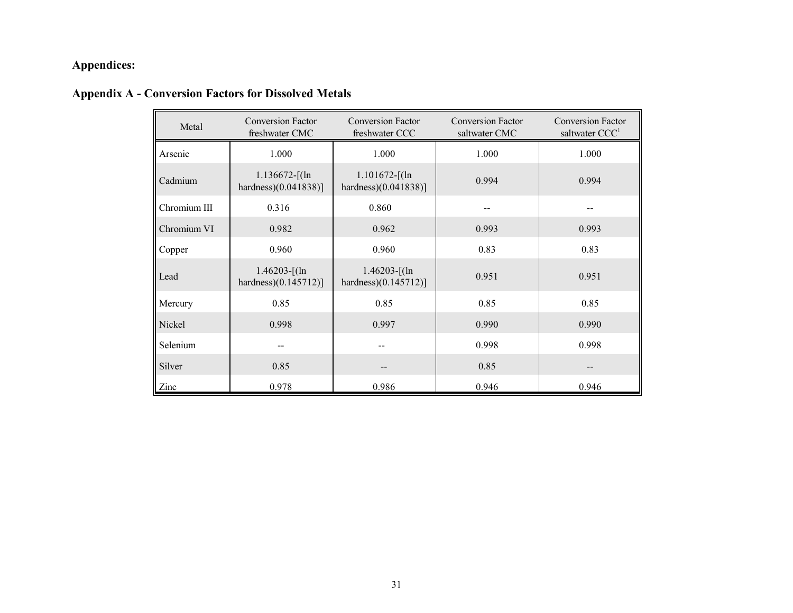# **Appendices:**

# **Appendix A - Conversion Factors for Dissolved Metals**

| Metal        | <b>Conversion Factor</b><br>freshwater CMC  | <b>Conversion Factor</b><br>freshwater CCC  | <b>Conversion Factor</b><br>saltwater CMC | <b>Conversion Factor</b><br>saltwater CCC <sup>1</sup> |
|--------------|---------------------------------------------|---------------------------------------------|-------------------------------------------|--------------------------------------------------------|
| Arsenic      | 1.000                                       | 1.000                                       | 1.000                                     | 1.000                                                  |
| Cadmium      | $1.136672$ -[(ln<br>hardness $(0.041838)$ ] | $1.101672$ -[(ln<br>hardness $(0.041838)$ ] | 0.994                                     | 0.994                                                  |
| Chromium III | 0.316                                       | 0.860                                       |                                           |                                                        |
| Chromium VI  | 0.982                                       | 0.962                                       | 0.993                                     | 0.993                                                  |
| Copper       | 0.960                                       | 0.960                                       | 0.83                                      | 0.83                                                   |
| Lead         | $1.46203 - [(ln$<br>hardness $(0.145712)$ ] | $1.46203$ -[(ln<br>hardness $(0.145712)$ ]  | 0.951                                     | 0.951                                                  |
| Mercury      | 0.85                                        | 0.85                                        | 0.85                                      | 0.85                                                   |
| Nickel       | 0.998                                       | 0.997                                       | 0.990                                     | 0.990                                                  |
| Selenium     |                                             |                                             | 0.998                                     | 0.998                                                  |
| Silver       | 0.85                                        | --                                          | 0.85                                      |                                                        |
| Zinc         | 0.978                                       | 0.986                                       | 0.946                                     | 0.946                                                  |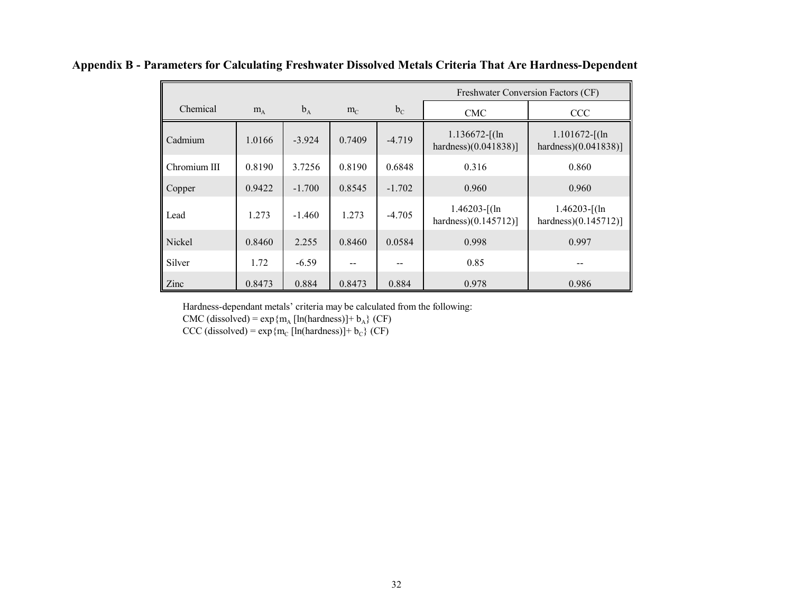|              |        |          |        |          | Freshwater Conversion Factors (CF)          |                                              |  |
|--------------|--------|----------|--------|----------|---------------------------------------------|----------------------------------------------|--|
| Chemical     | $m_A$  | $b_A$    | $m_C$  | $b_C$    | <b>CMC</b>                                  | <b>CCC</b>                                   |  |
| Cadmium      | 1.0166 | $-3.924$ | 0.7409 | $-4.719$ | $1.136672$ -[(ln<br>hardness $(0.041838)$ ] | $1.101672 - [(ln$<br>hardness $(0.041838)$ ] |  |
| Chromium III | 0.8190 | 3.7256   | 0.8190 | 0.6848   | 0.316                                       | 0.860                                        |  |
| Copper       | 0.9422 | $-1.700$ | 0.8545 | $-1.702$ | 0.960                                       | 0.960                                        |  |
| Lead         | 1.273  | $-1.460$ | 1.273  | $-4.705$ | $1.46203$ -[(ln<br>hardness $(0.145712)$ ]  | $1.46203$ -[(ln<br>hardness $(0.145712)$ ]   |  |
| Nickel       | 0.8460 | 2.255    | 0.8460 | 0.0584   | 0.998                                       | 0.997                                        |  |
| Silver       | 1.72   | $-6.59$  |        |          | 0.85                                        |                                              |  |
| Zinc         | 0.8473 | 0.884    | 0.8473 | 0.884    | 0.978                                       | 0.986                                        |  |

**Appendix B - Parameters for Calculating Freshwater Dissolved Metals Criteria That Are Hardness-Dependent**

Hardness-dependant metals' criteria may be calculated from the following:

CMC (dissolved) =  $\exp{\{m_A \left[ ln(hardness)\right]} + b_A\}$  (CF)

 $CCC$  (dissolved) = exp {m<sub>c</sub> [ln(hardness)]+ b<sub>c</sub>} (CF)